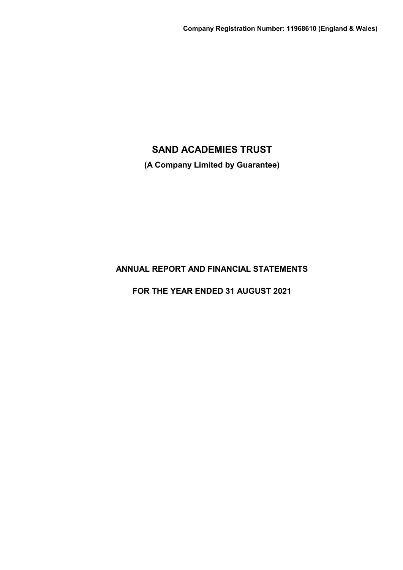**(A Company Limited by Guarantee)**

# **ANNUAL REPORT AND FINANCIAL STATEMENTS**

**FOR THE YEAR ENDED 31 AUGUST 2021**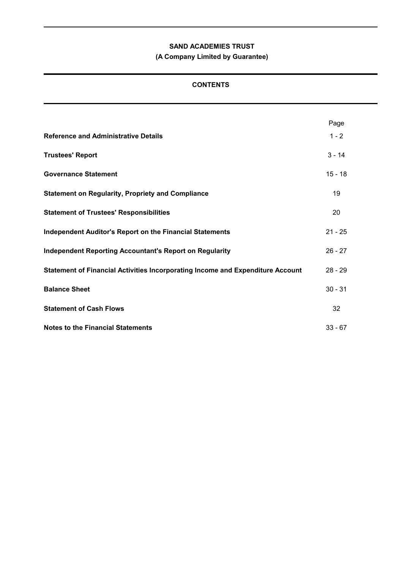# **(A Company Limited by Guarantee)**

# **CONTENTS**

|                                                                                | Page      |
|--------------------------------------------------------------------------------|-----------|
| <b>Reference and Administrative Details</b>                                    | $1 - 2$   |
| <b>Trustees' Report</b>                                                        | $3 - 14$  |
| <b>Governance Statement</b>                                                    | $15 - 18$ |
| <b>Statement on Regularity, Propriety and Compliance</b>                       | 19        |
| <b>Statement of Trustees' Responsibilities</b>                                 | 20        |
| <b>Independent Auditor's Report on the Financial Statements</b>                | $21 - 25$ |
| <b>Independent Reporting Accountant's Report on Regularity</b>                 | $26 - 27$ |
| Statement of Financial Activities Incorporating Income and Expenditure Account | $28 - 29$ |
| <b>Balance Sheet</b>                                                           | $30 - 31$ |
| <b>Statement of Cash Flows</b>                                                 | 32        |
| <b>Notes to the Financial Statements</b>                                       | $33 - 67$ |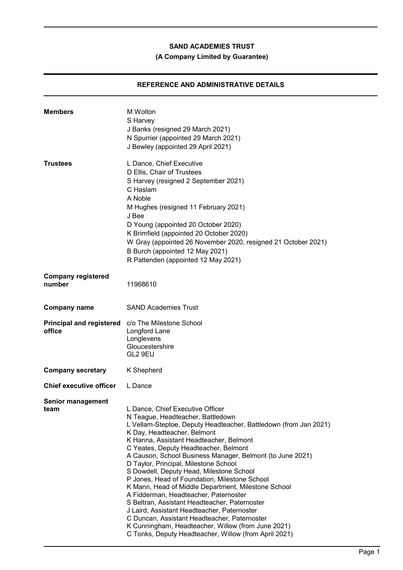# **(A Company Limited by Guarantee)**

# **REFERENCE AND ADMINISTRATIVE DETAILS**

| <b>Members</b>                            | M Wolton<br>S Harvey<br>J Banks (resigned 29 March 2021)<br>N Spurrier (appointed 29 March 2021)<br>J Bewley (appointed 29 April 2021)                                                                                                                                                                                                                                                                                                                                                                                                                                                                                                                                                                                                                                                                                         |
|-------------------------------------------|--------------------------------------------------------------------------------------------------------------------------------------------------------------------------------------------------------------------------------------------------------------------------------------------------------------------------------------------------------------------------------------------------------------------------------------------------------------------------------------------------------------------------------------------------------------------------------------------------------------------------------------------------------------------------------------------------------------------------------------------------------------------------------------------------------------------------------|
| <b>Trustees</b>                           | L Dance, Chief Executive<br>D Ellis, Chair of Trustees<br>S Harvey (resigned 2 September 2021)<br>C Haslam<br>A Noble<br>M Hughes (resigned 11 February 2021)<br>J Bee<br>D Young (appointed 20 October 2020)<br>K Brimfield (appointed 20 October 2020)<br>W Gray (appointed 26 November 2020, resigned 21 October 2021)<br>B Burch (appointed 12 May 2021)<br>R Pattenden (appointed 12 May 2021)                                                                                                                                                                                                                                                                                                                                                                                                                            |
| <b>Company registered</b><br>number       | 11968610                                                                                                                                                                                                                                                                                                                                                                                                                                                                                                                                                                                                                                                                                                                                                                                                                       |
| <b>Company name</b>                       | <b>SAND Academies Trust</b>                                                                                                                                                                                                                                                                                                                                                                                                                                                                                                                                                                                                                                                                                                                                                                                                    |
| <b>Principal and registered</b><br>office | c/o The Milestone School<br>Longford Lane<br>Longlevens<br>Gloucestershire<br>GL2 9EU                                                                                                                                                                                                                                                                                                                                                                                                                                                                                                                                                                                                                                                                                                                                          |
| <b>Company secretary</b>                  | K Shepherd                                                                                                                                                                                                                                                                                                                                                                                                                                                                                                                                                                                                                                                                                                                                                                                                                     |
| <b>Chief executive officer</b>            | L Dance                                                                                                                                                                                                                                                                                                                                                                                                                                                                                                                                                                                                                                                                                                                                                                                                                        |
| <b>Senior management</b><br>team          | L Dance, Chief Executive Officer<br>N Teague, Headteacher, Battledown<br>L Vellam-Steptoe, Deputy Headteacher, Battledown (from Jan 2021)<br>K Day, Headteacher, Belmont<br>K Hanna, Assistant Headteacher, Belmont<br>C Yeates, Deputy Headteacher, Belmont<br>A Causon, School Business Manager, Belmont (to June 2021)<br>D Taylor, Principal, Milestone School<br>S Dowdell, Deputy Head, Milestone School<br>P Jones, Head of Foundation, Milestone School<br>K Mann, Head of Middle Department, Milestone School<br>A Fidderman, Headteacher, Paternoster<br>S Beltran, Assistant Headteacher, Paternoster<br>J Laird, Assistant Headteacher, Paternoster<br>C Duncan, Assistant Headteacher, Paternoster<br>K Cunningham, Headteacher, Willow (from June 2021)<br>C Tonks, Deputy Headteacher, Willow (from April 2021) |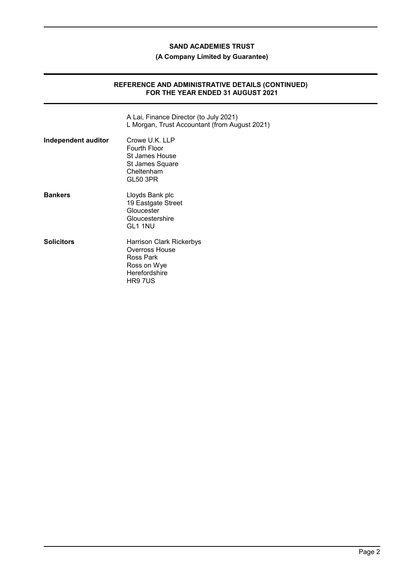## **(A Company Limited by Guarantee)**

### **REFERENCE AND ADMINISTRATIVE DETAILS (CONTINUED) FOR THE YEAR ENDED 31 AUGUST 2021**

|                     | A Lai, Finance Director (to July 2021)<br>L Morgan, Trust Accountant (from August 2021)            |
|---------------------|----------------------------------------------------------------------------------------------------|
| Independent auditor | Crowe U.K. LLP<br>Fourth Floor<br>St James House<br>St James Square<br>Cheltenham<br>GL50 3PR      |
| <b>Bankers</b>      | Lloyds Bank plc<br>19 Eastgate Street<br>Gloucester<br>Gloucestershire<br>GL1 1NU                  |
| <b>Solicitors</b>   | Harrison Clark Rickerbys<br>Overross House<br>Ross Park<br>Ross on Wye<br>Herefordshire<br>HR9 7US |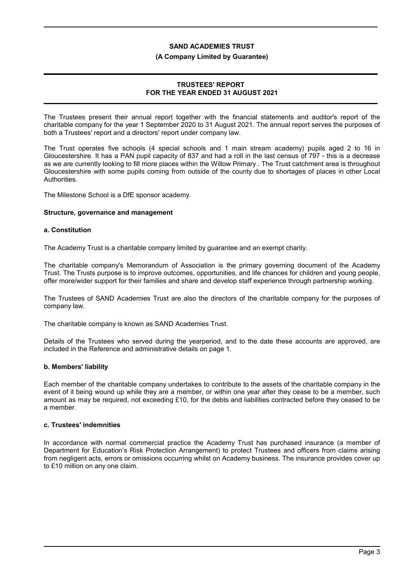#### **(A Company Limited by Guarantee)**

## **TRUSTEES' REPORT FOR THE YEAR ENDED 31 AUGUST 2021**

The Trustees present their annual report together with the financial statements and auditor's report of the charitable company for the year 1 September 2020 to 31 August 2021. The annual report serves the purposes of both a Trustees' report and a directors' report under company law.

The Trust operates five schools (4 special schools and 1 main stream academy) pupils aged 2 to 16 in Gloucestershire. It has a PAN pupil capacity of 837 and had a roll in the last census of 797 - this is a decrease as we are currently looking to fill more places within the Willow Primary . The Trust catchment area is throughout Gloucestershire with some pupils coming from outside of the county due to shortages of places in other Local **Authorities** 

The Milestone School is a DfE sponsor academy.

#### **Structure, governance and management**

#### **a. Constitution**

The Academy Trust is a charitable company limited by guarantee and an exempt charity.

The charitable company's Memorandum of Association is the primary governing document of the Academy Trust. The Trusts purpose is to improve outcomes, opportunities, and life chances for children and young people, offer more/wider support for their families and share and develop staff experience through partnership working.

The Trustees of SAND Academies Trust are also the directors of the charitable company for the purposes of company law.

The charitable company is known as SAND Academies Trust.

Details of the Trustees who served during the yearperiod, and to the date these accounts are approved, are included in the Reference and administrative details on page 1.

## **b. Members' liability**

Each member of the charitable company undertakes to contribute to the assets of the charitable company in the event of it being wound up while they are a member, or within one year after they cease to be a member, such amount as may be required, not exceeding £10, for the debts and liabilities contracted before they ceased to be a member.

#### **c. Trustees' indemnities**

In accordance with normal commercial practice the Academy Trust has purchased insurance (a member of Department for Education's Risk Protection Arrangement) to protect Trustees and officers from claims arising from negligent acts, errors or omissions occurring whilst on Academy business. The insurance provides cover up to £10 million on any one claim.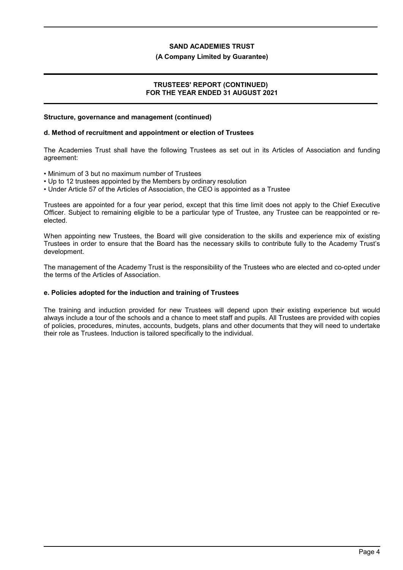#### **(A Company Limited by Guarantee)**

### **TRUSTEES' REPORT (CONTINUED) FOR THE YEAR ENDED 31 AUGUST 2021**

#### **Structure, governance and management (continued)**

### **d. Method of recruitment and appointment or election of Trustees**

The Academies Trust shall have the following Trustees as set out in its Articles of Association and funding agreement:

- Minimum of 3 but no maximum number of Trustees
- Up to 12 trustees appointed by the Members by ordinary resolution
- Under Article 57 of the Articles of Association, the CEO is appointed as a Trustee

Trustees are appointed for a four year period, except that this time limit does not apply to the Chief Executive Officer. Subject to remaining eligible to be a particular type of Trustee, any Trustee can be reappointed or reelected.

When appointing new Trustees, the Board will give consideration to the skills and experience mix of existing Trustees in order to ensure that the Board has the necessary skills to contribute fully to the Academy Trust's development.

The management of the Academy Trust is the responsibility of the Trustees who are elected and co-opted under the terms of the Articles of Association.

## **e. Policies adopted for the induction and training of Trustees**

The training and induction provided for new Trustees will depend upon their existing experience but would always include a tour of the schools and a chance to meet staff and pupils. All Trustees are provided with copies of policies, procedures, minutes, accounts, budgets, plans and other documents that they will need to undertake their role as Trustees. Induction is tailored specifically to the individual.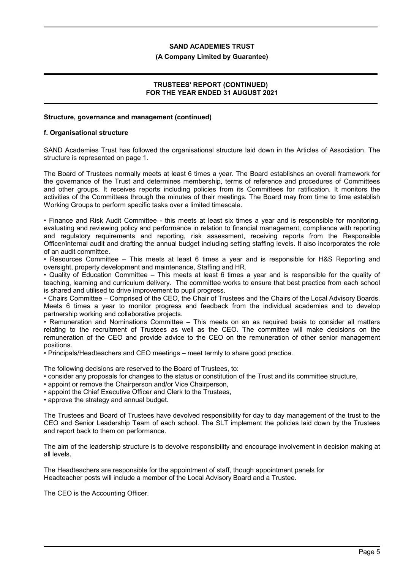#### **(A Company Limited by Guarantee)**

## **TRUSTEES' REPORT (CONTINUED) FOR THE YEAR ENDED 31 AUGUST 2021**

## **Structure, governance and management (continued)**

#### **f. Organisational structure**

SAND Academies Trust has followed the organisational structure laid down in the Articles of Association. The structure is represented on page 1.

The Board of Trustees normally meets at least 6 times a year. The Board establishes an overall framework for the governance of the Trust and determines membership, terms of reference and procedures of Committees and other groups. It receives reports including policies from its Committees for ratification. It monitors the activities of the Committees through the minutes of their meetings. The Board may from time to time establish Working Groups to perform specific tasks over a limited timescale.

• Finance and Risk Audit Committee - this meets at least six times a year and is responsible for monitoring, evaluating and reviewing policy and performance in relation to financial management, compliance with reporting and regulatory requirements and reporting, risk assessment, receiving reports from the Responsible Officer/internal audit and drafting the annual budget including setting staffing levels. It also incorporates the role of an audit committee.

• Resources Committee – This meets at least 6 times a year and is responsible for H&S Reporting and oversight, property development and maintenance, Staffing and HR.

• Quality of Education Committee – This meets at least 6 times a year and is responsible for the quality of teaching, learning and curriculum delivery. The committee works to ensure that best practice from each school is shared and utilised to drive improvement to pupil progress.

• Chairs Committee – Comprised of the CEO, the Chair of Trustees and the Chairs of the Local Advisory Boards. Meets 6 times a year to monitor progress and feedback from the individual academies and to develop partnership working and collaborative projects.

• Remuneration and Nominations Committee – This meets on an as required basis to consider all matters relating to the recruitment of Trustees as well as the CEO. The committee will make decisions on the remuneration of the CEO and provide advice to the CEO on the remuneration of other senior management positions.

• Principals/Headteachers and CEO meetings – meet termly to share good practice.

The following decisions are reserved to the Board of Trustees, to:

• consider any proposals for changes to the status or constitution of the Trust and its committee structure,

• appoint or remove the Chairperson and/or Vice Chairperson,

• appoint the Chief Executive Officer and Clerk to the Trustees,

• approve the strategy and annual budget.

The Trustees and Board of Trustees have devolved responsibility for day to day management of the trust to the CEO and Senior Leadership Team of each school. The SLT implement the policies laid down by the Trustees and report back to them on performance.

The aim of the leadership structure is to devolve responsibility and encourage involvement in decision making at all levels.

The Headteachers are responsible for the appointment of staff, though appointment panels for Headteacher posts will include a member of the Local Advisory Board and a Trustee.

The CEO is the Accounting Officer.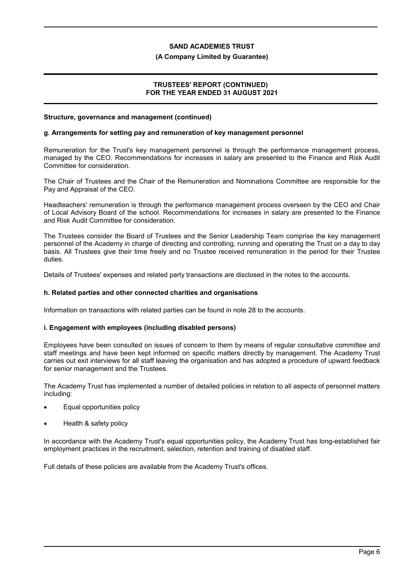#### **(A Company Limited by Guarantee)**

### **TRUSTEES' REPORT (CONTINUED) FOR THE YEAR ENDED 31 AUGUST 2021**

#### **Structure, governance and management (continued)**

#### **g. Arrangements for setting pay and remuneration of key management personnel**

Remuneration for the Trust's key management personnel is through the performance management process, managed by the CEO. Recommendations for increases in salary are presented to the Finance and Risk Audit Committee for consideration.

The Chair of Trustees and the Chair of the Remuneration and Nominations Committee are responsible for the Pay and Appraisal of the CEO.

Headteachers' remuneration is through the performance management process overseen by the CEO and Chair of Local Advisory Board of the school. Recommendations for increases in salary are presented to the Finance and Risk Audit Committee for consideration.

The Trustees consider the Board of Trustees and the Senior Leadership Team comprise the key management personnel of the Academy in charge of directing and controlling, running and operating the Trust on a day to day basis. All Trustees give their time freely and no Trustee received remuneration in the period for their Trustee duties.

Details of Trustees' expenses and related party transactions are disclosed in the notes to the accounts.

#### **h. Related parties and other connected charities and organisations**

Information on transactions with related parties can be found in note 28 to the accounts.

#### **i. Engagement with employees (including disabled persons)**

Employees have been consulted on issues of concern to them by means of regular consultative committee and staff meetings and have been kept informed on specific matters directly by management. The Academy Trust carries out exit interviews for all staff leaving the organisation and has adopted a procedure of upward feedback for senior management and the Trustees.

The Academy Trust has implemented a number of detailed policies in relation to all aspects of personnel matters including:

- Equal opportunities policy
- Health & safety policy

In accordance with the Academy Trust's equal opportunities policy, the Academy Trust has long-established fair employment practices in the recruitment, selection, retention and training of disabled staff.

Full details of these policies are available from the Academy Trust's offices.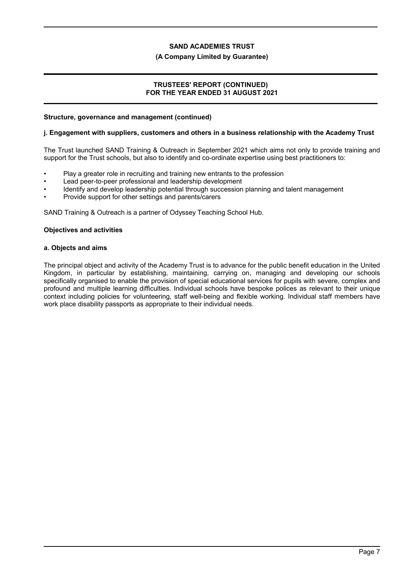#### **(A Company Limited by Guarantee)**

### **TRUSTEES' REPORT (CONTINUED) FOR THE YEAR ENDED 31 AUGUST 2021**

#### **Structure, governance and management (continued)**

#### **j. Engagement with suppliers, customers and others in a business relationship with the Academy Trust**

The Trust launched SAND Training & Outreach in September 2021 which aims not only to provide training and support for the Trust schools, but also to identify and co-ordinate expertise using best practitioners to:

- Play a greater role in recruiting and training new entrants to the profession
- Lead peer-to-peer professional and leadership development
- Identify and develop leadership potential through succession planning and talent management
- Provide support for other settings and parents/carers

SAND Training & Outreach is a partner of Odyssey Teaching School Hub.

#### **Objectives and activities**

#### **a. Objects and aims**

The principal object and activity of the Academy Trust is to advance for the public benefit education in the United Kingdom, in particular by establishing, maintaining, carrying on, managing and developing our schools specifically organised to enable the provision of special educational services for pupils with severe, complex and profound and multiple learning difficulties. Individual schools have bespoke polices as relevant to their unique context including policies for volunteering, staff well-being and flexible working. Individual staff members have work place disability passports as appropriate to their individual needs.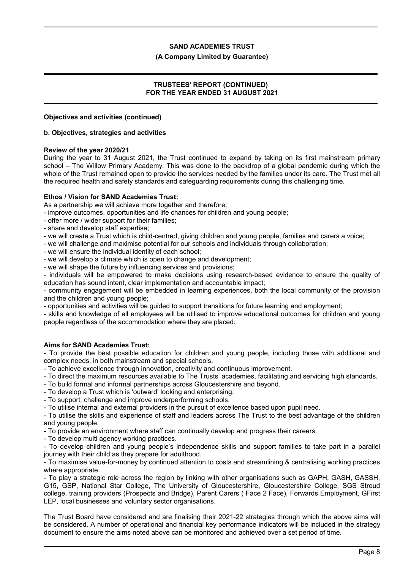#### **(A Company Limited by Guarantee)**

### **TRUSTEES' REPORT (CONTINUED) FOR THE YEAR ENDED 31 AUGUST 2021**

#### **Objectives and activities (continued)**

#### **b. Objectives, strategies and activities**

#### **Review of the year 2020/21**

During the year to 31 August 2021, the Trust continued to expand by taking on its first mainstream primary school – The Willow Primary Academy. This was done to the backdrop of a global pandemic during which the whole of the Trust remained open to provide the services needed by the families under its care. The Trust met all the required health and safety standards and safeguarding requirements during this challenging time.

#### **Ethos / Vision for SAND Academies Trust:**

As a partnership we will achieve more together and therefore:

- improve outcomes, opportunities and life chances for children and young people;

- offer more / wider support for their families;
- share and develop staff expertise;
- we will create a Trust which is child-centred, giving children and young people, families and carers a voice;
- we will challenge and maximise potential for our schools and individuals through collaboration;
- we will ensure the individual identity of each school;
- we will develop a climate which is open to change and development;
- we will shape the future by influencing services and provisions;

- individuals will be empowered to make decisions using research-based evidence to ensure the quality of education has sound intent, clear implementation and accountable impact;

- community engagement will be embedded in learning experiences, both the local community of the provision and the children and young people;

- opportunities and activities will be guided to support transitions for future learning and employment;

- skills and knowledge of all employees will be utilised to improve educational outcomes for children and young people regardless of the accommodation where they are placed.

#### **Aims for SAND Academies Trust:**

- To provide the best possible education for children and young people, including those with additional and complex needs, in both mainstream and special schools.

- To achieve excellence through innovation, creativity and continuous improvement.

- To direct the maximum resources available to The Trusts' academies, facilitating and servicing high standards.
- To build formal and informal partnerships across Gloucestershire and beyond.
- To develop a Trust which is 'outward' looking and enterprising.

- To support, challenge and improve underperforming schools.

- To utilise internal and external providers in the pursuit of excellence based upon pupil need.

- To utilise the skills and experience of staff and leaders across The Trust to the best advantage of the children and young people.

- To provide an environment where staff can continually develop and progress their careers.

- To develop multi agency working practices.

- To develop children and young people's independence skills and support families to take part in a parallel journey with their child as they prepare for adulthood.

- To maximise value-for-money by continued attention to costs and streamlining & centralising working practices where appropriate.

- To play a strategic role across the region by linking with other organisations such as GAPH, GASH, GASSH, G15, GSP, National Star College, The University of Gloucestershire, Gloucestershire College, SGS Stroud college, training providers (Prospects and Bridge), Parent Carers ( Face 2 Face), Forwards Employment, GFirst LEP, local businesses and voluntary sector organisations.

The Trust Board have considered and are finalising their 2021-22 strategies through which the above aims will be considered. A number of operational and financial key performance indicators will be included in the strategy document to ensure the aims noted above can be monitored and achieved over a set period of time.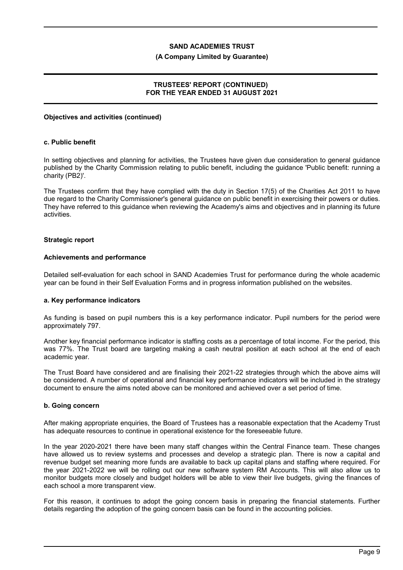#### **(A Company Limited by Guarantee)**

## **TRUSTEES' REPORT (CONTINUED) FOR THE YEAR ENDED 31 AUGUST 2021**

#### **Objectives and activities (continued)**

#### **c. Public benefit**

In setting objectives and planning for activities, the Trustees have given due consideration to general guidance published by the Charity Commission relating to public benefit, including the guidance 'Public benefit: running a charity (PB2)'.

The Trustees confirm that they have complied with the duty in Section 17(5) of the Charities Act 2011 to have due regard to the Charity Commissioner's general guidance on public benefit in exercising their powers or duties. They have referred to this guidance when reviewing the Academy's aims and objectives and in planning its future activities.

#### **Strategic report**

#### **Achievements and performance**

Detailed self-evaluation for each school in SAND Academies Trust for performance during the whole academic year can be found in their Self Evaluation Forms and in progress information published on the websites.

#### **a. Key performance indicators**

As funding is based on pupil numbers this is a key performance indicator. Pupil numbers for the period were approximately 797.

Another key financial performance indicator is staffing costs as a percentage of total income. For the period, this was 77%. The Trust board are targeting making a cash neutral position at each school at the end of each academic year.

The Trust Board have considered and are finalising their 2021-22 strategies through which the above aims will be considered. A number of operational and financial key performance indicators will be included in the strategy document to ensure the aims noted above can be monitored and achieved over a set period of time.

### **b. Going concern**

After making appropriate enquiries, the Board of Trustees has a reasonable expectation that the Academy Trust has adequate resources to continue in operational existence for the foreseeable future.

In the year 2020-2021 there have been many staff changes within the Central Finance team. These changes have allowed us to review systems and processes and develop a strategic plan. There is now a capital and revenue budget set meaning more funds are available to back up capital plans and staffing where required. For the year 2021-2022 we will be rolling out our new software system RM Accounts. This will also allow us to monitor budgets more closely and budget holders will be able to view their live budgets, giving the finances of each school a more transparent view.

For this reason, it continues to adopt the going concern basis in preparing the financial statements. Further details regarding the adoption of the going concern basis can be found in the accounting policies.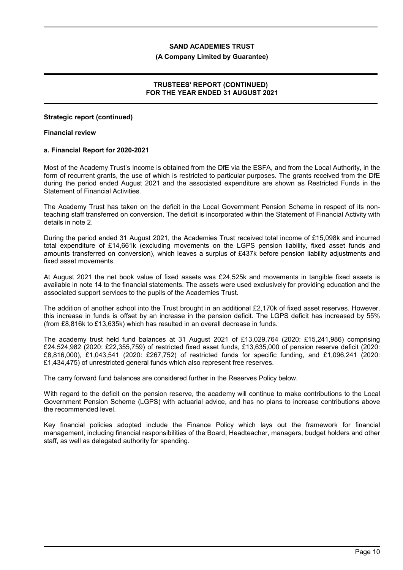#### **(A Company Limited by Guarantee)**

## **TRUSTEES' REPORT (CONTINUED) FOR THE YEAR ENDED 31 AUGUST 2021**

#### **Strategic report (continued)**

#### **Financial review**

#### **a. Financial Report for 2020-2021**

Most of the Academy Trust's income is obtained from the DfE via the ESFA, and from the Local Authority, in the form of recurrent grants, the use of which is restricted to particular purposes. The grants received from the DfE during the period ended August 2021 and the associated expenditure are shown as Restricted Funds in the Statement of Financial Activities.

The Academy Trust has taken on the deficit in the Local Government Pension Scheme in respect of its nonteaching staff transferred on conversion. The deficit is incorporated within the Statement of Financial Activity with details in note 2.

During the period ended 31 August 2021, the Academies Trust received total income of £15,098k and incurred total expenditure of £14,661k (excluding movements on the LGPS pension liability, fixed asset funds and amounts transferred on conversion), which leaves a surplus of £437k before pension liability adjustments and fixed asset movements.

At August 2021 the net book value of fixed assets was £24,525k and movements in tangible fixed assets is available in note 14 to the financial statements. The assets were used exclusively for providing education and the associated support services to the pupils of the Academies Trust.

The addition of another school into the Trust brought in an additional £2,170k of fixed asset reserves. However, this increase in funds is offset by an increase in the pension deficit. The LGPS deficit has increased by 55% (from £8,816k to £13,635k) which has resulted in an overall decrease in funds.

The academy trust held fund balances at 31 August 2021 of £13,029,764 (2020: £15,241,986) comprising £24,524,982 (2020: £22,355,759) of restricted fixed asset funds, £13,635,000 of pension reserve deficit (2020: £8,816,000), £1,043,541 (2020: £267,752) of restricted funds for specific funding, and £1,096,241 (2020: £1,434,475) of unrestricted general funds which also represent free reserves.

The carry forward fund balances are considered further in the Reserves Policy below.

With regard to the deficit on the pension reserve, the academy will continue to make contributions to the Local Government Pension Scheme (LGPS) with actuarial advice, and has no plans to increase contributions above the recommended level.

Key financial policies adopted include the Finance Policy which lays out the framework for financial management, including financial responsibilities of the Board, Headteacher, managers, budget holders and other staff, as well as delegated authority for spending.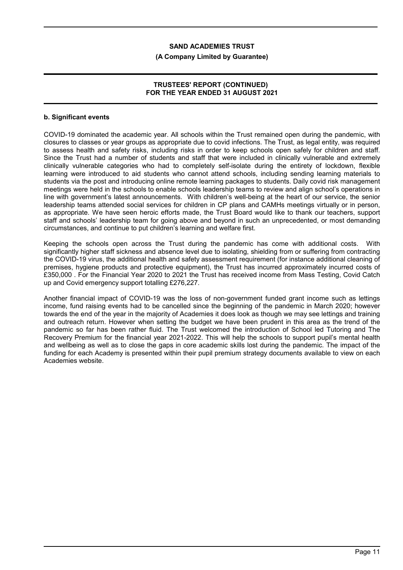#### **(A Company Limited by Guarantee)**

## **TRUSTEES' REPORT (CONTINUED) FOR THE YEAR ENDED 31 AUGUST 2021**

### **b. Significant events**

COVID-19 dominated the academic year. All schools within the Trust remained open during the pandemic, with closures to classes or year groups as appropriate due to covid infections. The Trust, as legal entity, was required to assess health and safety risks, including risks in order to keep schools open safely for children and staff. Since the Trust had a number of students and staff that were included in clinically vulnerable and extremely clinically vulnerable categories who had to completely self-isolate during the entirety of lockdown, flexible learning were introduced to aid students who cannot attend schools, including sending learning materials to students via the post and introducing online remote learning packages to students. Daily covid risk management meetings were held in the schools to enable schools leadership teams to review and align school's operations in line with government's latest announcements. With children's well-being at the heart of our service, the senior leadership teams attended social services for children in CP plans and CAMHs meetings virtually or in person, as appropriate. We have seen heroic efforts made, the Trust Board would like to thank our teachers, support staff and schools' leadership team for going above and beyond in such an unprecedented, or most demanding circumstances, and continue to put children's learning and welfare first.

Keeping the schools open across the Trust during the pandemic has come with additional costs. With significantly higher staff sickness and absence level due to isolating, shielding from or suffering from contracting the COVID-19 virus, the additional health and safety assessment requirement (for instance additional cleaning of premises, hygiene products and protective equipment), the Trust has incurred approximately incurred costs of £350,000 . For the Financial Year 2020 to 2021 the Trust has received income from Mass Testing, Covid Catch up and Covid emergency support totalling £276,227.

Another financial impact of COVID-19 was the loss of non-government funded grant income such as lettings income, fund raising events had to be cancelled since the beginning of the pandemic in March 2020; however towards the end of the year in the majority of Academies it does look as though we may see lettings and training and outreach return. However when setting the budget we have been prudent in this area as the trend of the pandemic so far has been rather fluid. The Trust welcomed the introduction of School led Tutoring and The Recovery Premium for the financial year 2021-2022. This will help the schools to support pupil's mental health and wellbeing as well as to close the gaps in core academic skills lost during the pandemic. The impact of the funding for each Academy is presented within their pupil premium strategy documents available to view on each Academies website.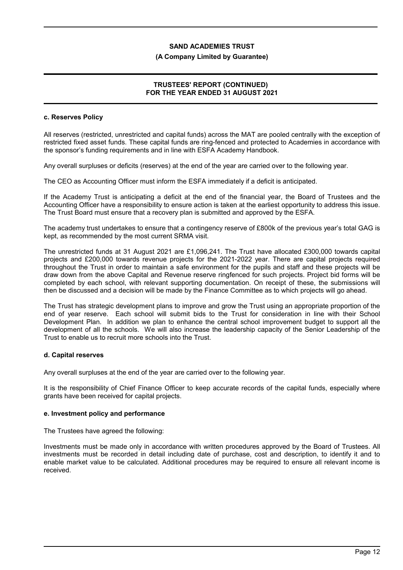#### **(A Company Limited by Guarantee)**

## **TRUSTEES' REPORT (CONTINUED) FOR THE YEAR ENDED 31 AUGUST 2021**

#### **c. Reserves Policy**

All reserves (restricted, unrestricted and capital funds) across the MAT are pooled centrally with the exception of restricted fixed asset funds. These capital funds are ring-fenced and protected to Academies in accordance with the sponsor's funding requirements and in line with ESFA Academy Handbook.

Any overall surpluses or deficits (reserves) at the end of the year are carried over to the following year.

The CEO as Accounting Officer must inform the ESFA immediately if a deficit is anticipated.

If the Academy Trust is anticipating a deficit at the end of the financial year, the Board of Trustees and the Accounting Officer have a responsibility to ensure action is taken at the earliest opportunity to address this issue. The Trust Board must ensure that a recovery plan is submitted and approved by the ESFA.

The academy trust undertakes to ensure that a contingency reserve of £800k of the previous year's total GAG is kept, as recommended by the most current SRMA visit.

The unrestricted funds at 31 August 2021 are £1,096,241. The Trust have allocated £300,000 towards capital projects and £200,000 towards revenue projects for the 2021-2022 year. There are capital projects required throughout the Trust in order to maintain a safe environment for the pupils and staff and these projects will be draw down from the above Capital and Revenue reserve ringfenced for such projects. Project bid forms will be completed by each school, with relevant supporting documentation. On receipt of these, the submissions will then be discussed and a decision will be made by the Finance Committee as to which projects will go ahead.

The Trust has strategic development plans to improve and grow the Trust using an appropriate proportion of the end of year reserve. Each school will submit bids to the Trust for consideration in line with their School Development Plan. In addition we plan to enhance the central school improvement budget to support all the development of all the schools. We will also increase the leadership capacity of the Senior Leadership of the Trust to enable us to recruit more schools into the Trust.

#### **d. Capital reserves**

Any overall surpluses at the end of the year are carried over to the following year.

It is the responsibility of Chief Finance Officer to keep accurate records of the capital funds, especially where grants have been received for capital projects.

#### **e. Investment policy and performance**

The Trustees have agreed the following:

Investments must be made only in accordance with written procedures approved by the Board of Trustees. All investments must be recorded in detail including date of purchase, cost and description, to identify it and to enable market value to be calculated. Additional procedures may be required to ensure all relevant income is received.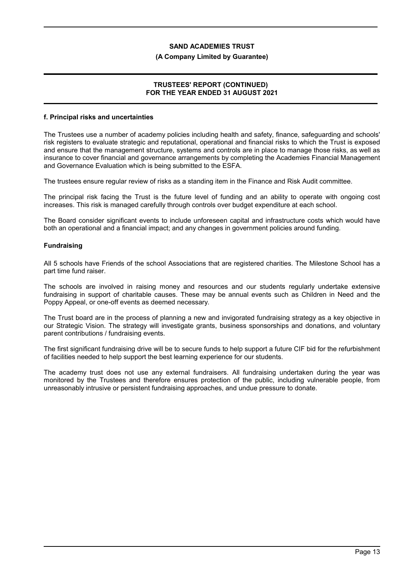#### **(A Company Limited by Guarantee)**

### **TRUSTEES' REPORT (CONTINUED) FOR THE YEAR ENDED 31 AUGUST 2021**

#### **f. Principal risks and uncertainties**

The Trustees use a number of academy policies including health and safety, finance, safeguarding and schools' risk registers to evaluate strategic and reputational, operational and financial risks to which the Trust is exposed and ensure that the management structure, systems and controls are in place to manage those risks, as well as insurance to cover financial and governance arrangements by completing the Academies Financial Management and Governance Evaluation which is being submitted to the ESFA.

The trustees ensure regular review of risks as a standing item in the Finance and Risk Audit committee.

The principal risk facing the Trust is the future level of funding and an ability to operate with ongoing cost increases. This risk is managed carefully through controls over budget expenditure at each school.

The Board consider significant events to include unforeseen capital and infrastructure costs which would have both an operational and a financial impact; and any changes in government policies around funding.

#### **Fundraising**

All 5 schools have Friends of the school Associations that are registered charities. The Milestone School has a part time fund raiser.

The schools are involved in raising money and resources and our students regularly undertake extensive fundraising in support of charitable causes. These may be annual events such as Children in Need and the Poppy Appeal, or one-off events as deemed necessary.

The Trust board are in the process of planning a new and invigorated fundraising strategy as a key objective in our Strategic Vision. The strategy will investigate grants, business sponsorships and donations, and voluntary parent contributions / fundraising events.

The first significant fundraising drive will be to secure funds to help support a future CIF bid for the refurbishment of facilities needed to help support the best learning experience for our students.

The academy trust does not use any external fundraisers. All fundraising undertaken during the year was monitored by the Trustees and therefore ensures protection of the public, including vulnerable people, from unreasonably intrusive or persistent fundraising approaches, and undue pressure to donate.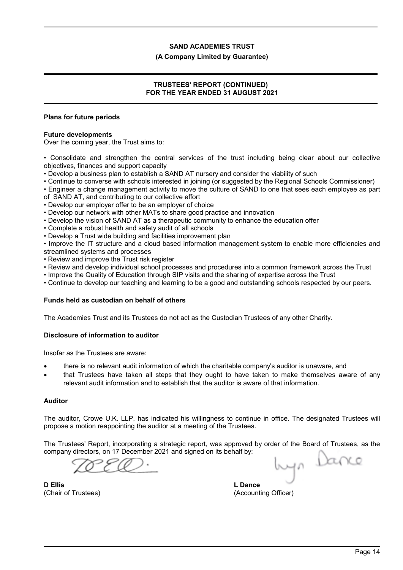#### **(A Company Limited by Guarantee)**

## **TRUSTEES' REPORT (CONTINUED) FOR THE YEAR ENDED 31 AUGUST 2021**

#### **Plans for future periods**

#### **Future developments**

Over the coming year, the Trust aims to:

• Consolidate and strengthen the central services of the trust including being clear about our collective objectives, finances and support capacity

- Develop a business plan to establish a SAND AT nursery and consider the viability of such
- Continue to converse with schools interested in joining (or suggested by the Regional Schools Commissioner)
- Engineer a change management activity to move the culture of SAND to one that sees each employee as part of SAND AT, and contributing to our collective effort
- Develop our employer offer to be an employer of choice
- Develop our network with other MATs to share good practice and innovation
- Develop the vision of SAND AT as a therapeutic community to enhance the education offer
- Complete a robust health and safety audit of all schools
- Develop a Trust wide building and facilities improvement plan
- Improve the IT structure and a cloud based information management system to enable more efficiencies and streamlined systems and processes
- Review and improve the Trust risk register
- Review and develop individual school processes and procedures into a common framework across the Trust
- Improve the Quality of Education through SIP visits and the sharing of expertise across the Trust
- Continue to develop our teaching and learning to be a good and outstanding schools respected by our peers.

## **Funds held as custodian on behalf of others**

The Academies Trust and its Trustees do not act as the Custodian Trustees of any other Charity.

## **Disclosure of information to auditor**

Insofar as the Trustees are aware:

- there is no relevant audit information of which the charitable company's auditor is unaware, and
- that Trustees have taken all steps that they ought to have taken to make themselves aware of any relevant audit information and to establish that the auditor is aware of that information.

## **Auditor**

The auditor, Crowe U.K. LLP, has indicated his willingness to continue in office. The designated Trustees will propose a motion reappointing the auditor at a meeting of the Trustees.

The Trustees' Report, incorporating a strategic report, was approved by order of the Board of Trustees, as the company directors, on 17 December 2021 and signed on its behalf by:

byn Dance

**D Ellis** (Chair of Trustees)

**L Dance** (Accounting Officer)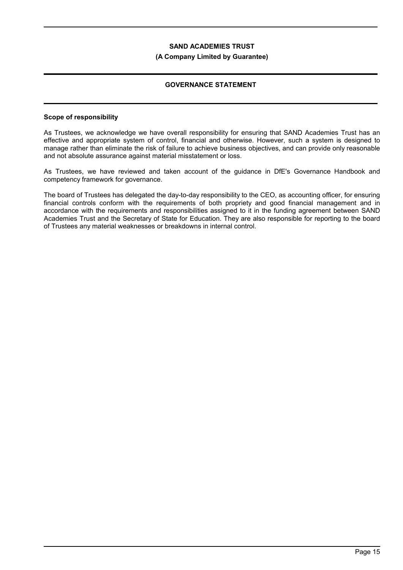#### **(A Company Limited by Guarantee)**

## **GOVERNANCE STATEMENT**

#### **Scope of responsibility**

As Trustees, we acknowledge we have overall responsibility for ensuring that SAND Academies Trust has an effective and appropriate system of control, financial and otherwise. However, such a system is designed to manage rather than eliminate the risk of failure to achieve business objectives, and can provide only reasonable and not absolute assurance against material misstatement or loss.

As Trustees, we have reviewed and taken account of the guidance in DfE's Governance Handbook and competency framework for governance.

The board of Trustees has delegated the day-to-day responsibility to the CEO, as accounting officer, for ensuring financial controls conform with the requirements of both propriety and good financial management and in accordance with the requirements and responsibilities assigned to it in the funding agreement between SAND Academies Trust and the Secretary of State for Education. They are also responsible for reporting to the board of Trustees any material weaknesses or breakdowns in internal control.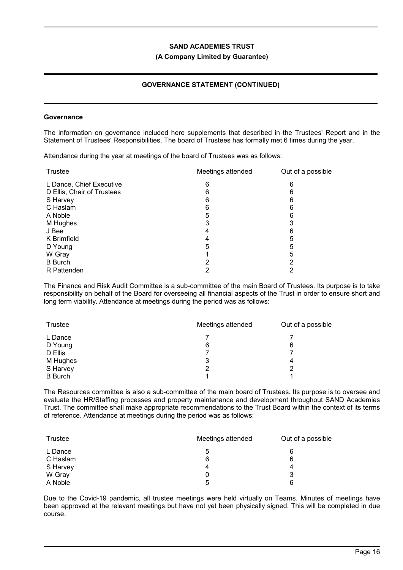#### **(A Company Limited by Guarantee)**

## **GOVERNANCE STATEMENT (CONTINUED)**

#### **Governance**

The information on governance included here supplements that described in the Trustees' Report and in the Statement of Trustees' Responsibilities. The board of Trustees has formally met 6 times during the year.

Attendance during the year at meetings of the board of Trustees was as follows:

| <b>Trustee</b>             | Meetings attended | Out of a possible |
|----------------------------|-------------------|-------------------|
| L Dance, Chief Executive   | 6                 | 6                 |
| D Ellis, Chair of Trustees | 6                 | 6                 |
| S Harvey                   | 6                 | 6                 |
| C Haslam                   | 6                 | 6                 |
| A Noble                    | 5                 | 6                 |
| M Hughes                   | 3                 | 3                 |
| J Bee                      | 4                 | 6                 |
| K Brimfield                |                   | 5                 |
| D Young                    | 5                 | 5                 |
| W Gray                     |                   | 5                 |
| <b>B</b> Burch             |                   | 2                 |
| R Pattenden                |                   | רי                |

The Finance and Risk Audit Committee is a sub-committee of the main Board of Trustees. Its purpose is to take responsibility on behalf of the Board for overseeing all financial aspects of the Trust in order to ensure short and long term viability. Attendance at meetings during the period was as follows:

| Trustee        | Meetings attended | Out of a possible |  |
|----------------|-------------------|-------------------|--|
| L Dance        |                   |                   |  |
| D Young        | 6                 | 6                 |  |
| D Ellis        |                   |                   |  |
| M Hughes       | 3                 | 4                 |  |
| S Harvey       | 2                 | 2                 |  |
| <b>B</b> Burch |                   |                   |  |

The Resources committee is also a sub-committee of the main board of Trustees. Its purpose is to oversee and evaluate the HR/Staffing processes and property maintenance and development throughout SAND Academies Trust. The committee shall make appropriate recommendations to the Trust Board within the context of its terms of reference. Attendance at meetings during the period was as follows:

| Trustee  | Meetings attended | Out of a possible |  |
|----------|-------------------|-------------------|--|
| L Dance  | ა                 | 6                 |  |
| C Haslam | 6                 | 6                 |  |
| S Harvey | 4                 |                   |  |
| W Gray   |                   | 3                 |  |
| A Noble  | 5                 | 6                 |  |

Due to the Covid-19 pandemic, all trustee meetings were held virtually on Teams. Minutes of meetings have been approved at the relevant meetings but have not yet been physically signed. This will be completed in due course.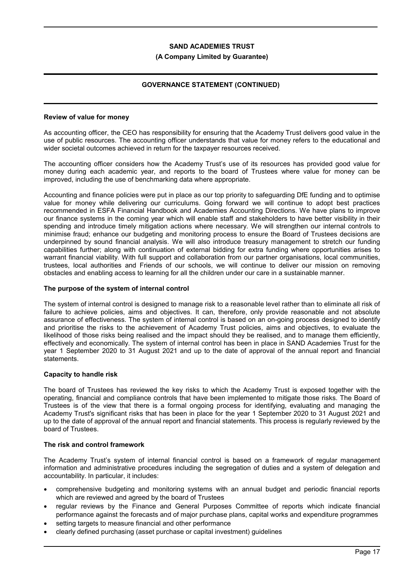#### **(A Company Limited by Guarantee)**

## **GOVERNANCE STATEMENT (CONTINUED)**

#### **Review of value for money**

As accounting officer, the CEO has responsibility for ensuring that the Academy Trust delivers good value in the use of public resources. The accounting officer understands that value for money refers to the educational and wider societal outcomes achieved in return for the taxpayer resources received.

The accounting officer considers how the Academy Trust's use of its resources has provided good value for money during each academic year, and reports to the board of Trustees where value for money can be improved, including the use of benchmarking data where appropriate.

Accounting and finance policies were put in place as our top priority to safeguarding DfE funding and to optimise value for money while delivering our curriculums. Going forward we will continue to adopt best practices recommended in ESFA Financial Handbook and Academies Accounting Directions. We have plans to improve our finance systems in the coming year which will enable staff and stakeholders to have better visibility in their spending and introduce timely mitigation actions where necessary. We will strengthen our internal controls to minimise fraud; enhance our budgeting and monitoring process to ensure the Board of Trustees decisions are underpinned by sound financial analysis. We will also introduce treasury management to stretch our funding capabilities further; along with continuation of external bidding for extra funding where opportunities arises to warrant financial viability. With full support and collaboration from our partner organisations, local communities, trustees, local authorities and Friends of our schools, we will continue to deliver our mission on removing obstacles and enabling access to learning for all the children under our care in a sustainable manner.

#### **The purpose of the system of internal control**

The system of internal control is designed to manage risk to a reasonable level rather than to eliminate all risk of failure to achieve policies, aims and objectives. It can, therefore, only provide reasonable and not absolute assurance of effectiveness. The system of internal control is based on an on-going process designed to identify and prioritise the risks to the achievement of Academy Trust policies, aims and objectives, to evaluate the likelihood of those risks being realised and the impact should they be realised, and to manage them efficiently, effectively and economically. The system of internal control has been in place in SAND Academies Trust for the year 1 September 2020 to 31 August 2021 and up to the date of approval of the annual report and financial statements.

## **Capacity to handle risk**

The board of Trustees has reviewed the key risks to which the Academy Trust is exposed together with the operating, financial and compliance controls that have been implemented to mitigate those risks. The Board of Trustees is of the view that there is a formal ongoing process for identifying, evaluating and managing the Academy Trust's significant risks that has been in place for the year 1 September 2020 to 31 August 2021 and up to the date of approval of the annual report and financial statements. This process is regularly reviewed by the board of Trustees.

## **The risk and control framework**

The Academy Trust's system of internal financial control is based on a framework of regular management information and administrative procedures including the segregation of duties and a system of delegation and accountability. In particular, it includes:

- comprehensive budgeting and monitoring systems with an annual budget and periodic financial reports which are reviewed and agreed by the board of Trustees
- regular reviews by the Finance and General Purposes Committee of reports which indicate financial performance against the forecasts and of major purchase plans, capital works and expenditure programmes
- setting targets to measure financial and other performance
- clearly defined purchasing (asset purchase or capital investment) guidelines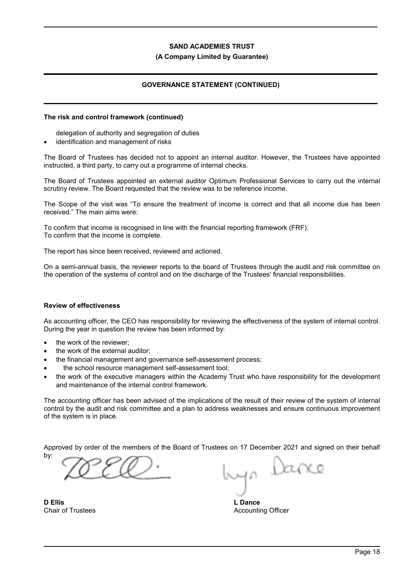#### **(A Company Limited by Guarantee)**

## **GOVERNANCE STATEMENT (CONTINUED)**

#### **The risk and control framework (continued)**

delegation of authority and segregation of duties

identification and management of risks

The Board of Trustees has decided not to appoint an internal auditor. However, the Trustees have appointed instructed, a third party, to carry out a programme of internal checks.

The Board of Trustees appointed an external auditor Optimum Professional Services to carry out the internal scrutiny review. The Board requested that the review was to be reference income.

The Scope of the visit was "To ensure the treatment of income is correct and that all income due has been received." The main aims were:

To confirm that income is recognised in line with the financial reporting framework (FRF). To confirm that the income is complete.

The report has since been received, reviewed and actioned.

On a semi-annual basis, the reviewer reports to the board of Trustees through the audit and risk committee on the operation of the systems of control and on the discharge of the Trustees' financial responsibilities.

## **Review of effectiveness**

As accounting officer, the CEO has responsibility for reviewing the effectiveness of the system of internal control. During the year in question the review has been informed by:

- the work of the reviewer;
- the work of the external auditor;
- the financial management and governance self-assessment process;
- the school resource management self-assessment tool;
- the work of the executive managers within the Academy Trust who have responsibility for the development and maintenance of the internal control framework.

The accounting officer has been advised of the implications of the result of their review of the system of internal control by the audit and risk committee and a plan to address weaknesses and ensure continuous improvement of the system is in place.

Approved by order of the members of the Board of Trustees on 17 December 2021 and signed on their behalf by:

**D Ellis** Chair of Trustees

yn Dance

**L Dance** Accounting Officer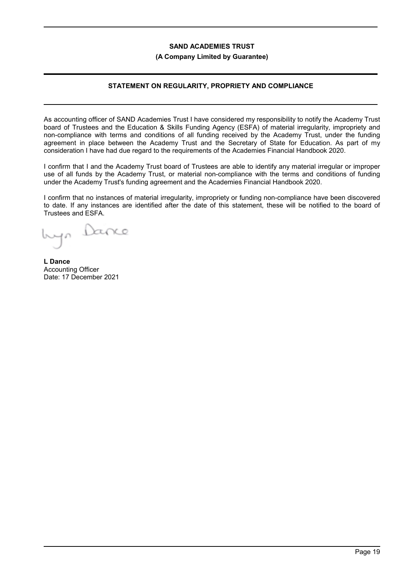#### **(A Company Limited by Guarantee)**

## **STATEMENT ON REGULARITY, PROPRIETY AND COMPLIANCE**

As accounting officer of SAND Academies Trust I have considered my responsibility to notify the Academy Trust board of Trustees and the Education & Skills Funding Agency (ESFA) of material irregularity, impropriety and non-compliance with terms and conditions of all funding received by the Academy Trust, under the funding agreement in place between the Academy Trust and the Secretary of State for Education. As part of my consideration I have had due regard to the requirements of the Academies Financial Handbook 2020.

I confirm that I and the Academy Trust board of Trustees are able to identify any material irregular or improper use of all funds by the Academy Trust, or material non-compliance with the terms and conditions of funding under the Academy Trust's funding agreement and the Academies Financial Handbook 2020.

I confirm that no instances of material irregularity, impropriety or funding non-compliance have been discovered to date. If any instances are identified after the date of this statement, these will be notified to the board of Trustees and ESFA.

banco

**L Dance** Accounting Officer Date: 17 December 2021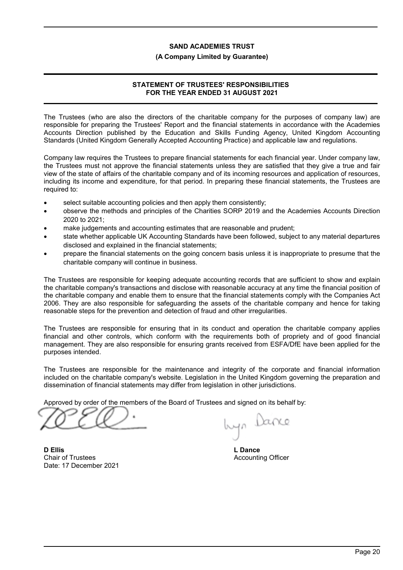#### **(A Company Limited by Guarantee)**

## **STATEMENT OF TRUSTEES' RESPONSIBILITIES FOR THE YEAR ENDED 31 AUGUST 2021**

The Trustees (who are also the directors of the charitable company for the purposes of company law) are responsible for preparing the Trustees' Report and the financial statements in accordance with the Academies Accounts Direction published by the Education and Skills Funding Agency, United Kingdom Accounting Standards (United Kingdom Generally Accepted Accounting Practice) and applicable law and regulations.

Company law requires the Trustees to prepare financial statements for each financial year. Under company law, the Trustees must not approve the financial statements unless they are satisfied that they give a true and fair view of the state of affairs of the charitable company and of its incoming resources and application of resources, including its income and expenditure, for that period. In preparing these financial statements, the Trustees are required to:

- select suitable accounting policies and then apply them consistently;
- observe the methods and principles of the Charities SORP 2019 and the Academies Accounts Direction 2020 to 2021;
- make judgements and accounting estimates that are reasonable and prudent;
- state whether applicable UK Accounting Standards have been followed, subject to any material departures disclosed and explained in the financial statements;
- prepare the financial statements on the going concern basis unless it is inappropriate to presume that the charitable company will continue in business.

The Trustees are responsible for keeping adequate accounting records that are sufficient to show and explain the charitable company's transactions and disclose with reasonable accuracy at any time the financial position of the charitable company and enable them to ensure that the financial statements comply with the Companies Act 2006. They are also responsible for safeguarding the assets of the charitable company and hence for taking reasonable steps for the prevention and detection of fraud and other irregularities.

The Trustees are responsible for ensuring that in its conduct and operation the charitable company applies financial and other controls, which conform with the requirements both of propriety and of good financial management. They are also responsible for ensuring grants received from ESFA/DfE have been applied for the purposes intended.

The Trustees are responsible for the maintenance and integrity of the corporate and financial information included on the charitable company's website. Legislation in the United Kingdom governing the preparation and dissemination of financial statements may differ from legislation in other jurisdictions.

Approved by order of the members of the Board of Trustees and signed on its behalf by:

**D Ellis** Chair of Trustees Date: 17 December 2021

yn Dance

**L Dance** Accounting Officer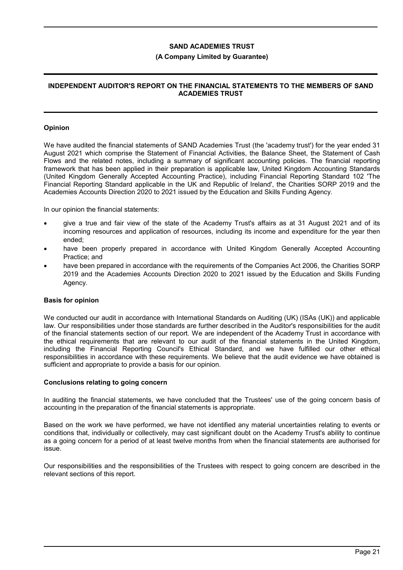#### **(A Company Limited by Guarantee)**

### **INDEPENDENT AUDITOR'S REPORT ON THE FINANCIAL STATEMENTS TO THE MEMBERS OF SAND ACADEMIES TRUST**

#### **Opinion**

We have audited the financial statements of SAND Academies Trust (the 'academy trust') for the year ended 31 August 2021 which comprise the Statement of Financial Activities, the Balance Sheet, the Statement of Cash Flows and the related notes, including a summary of significant accounting policies. The financial reporting framework that has been applied in their preparation is applicable law, United Kingdom Accounting Standards (United Kingdom Generally Accepted Accounting Practice), including Financial Reporting Standard 102 'The Financial Reporting Standard applicable in the UK and Republic of Ireland', the Charities SORP 2019 and the Academies Accounts Direction 2020 to 2021 issued by the Education and Skills Funding Agency.

In our opinion the financial statements:

- give a true and fair view of the state of the Academy Trust's affairs as at 31 August 2021 and of its incoming resources and application of resources, including its income and expenditure for the year then ended;
- have been properly prepared in accordance with United Kingdom Generally Accepted Accounting Practice; and
- have been prepared in accordance with the requirements of the Companies Act 2006, the Charities SORP 2019 and the Academies Accounts Direction 2020 to 2021 issued by the Education and Skills Funding Agency.

#### **Basis for opinion**

We conducted our audit in accordance with International Standards on Auditing (UK) (ISAs (UK)) and applicable law. Our responsibilities under those standards are further described in the Auditor's responsibilities for the audit of the financial statements section of our report. We are independent of the Academy Trust in accordance with the ethical requirements that are relevant to our audit of the financial statements in the United Kingdom, including the Financial Reporting Council's Ethical Standard, and we have fulfilled our other ethical responsibilities in accordance with these requirements. We believe that the audit evidence we have obtained is sufficient and appropriate to provide a basis for our opinion.

#### **Conclusions relating to going concern**

In auditing the financial statements, we have concluded that the Trustees' use of the going concern basis of accounting in the preparation of the financial statements is appropriate.

Based on the work we have performed, we have not identified any material uncertainties relating to events or conditions that, individually or collectively, may cast significant doubt on the Academy Trust's ability to continue as a going concern for a period of at least twelve months from when the financial statements are authorised for issue.

Our responsibilities and the responsibilities of the Trustees with respect to going concern are described in the relevant sections of this report.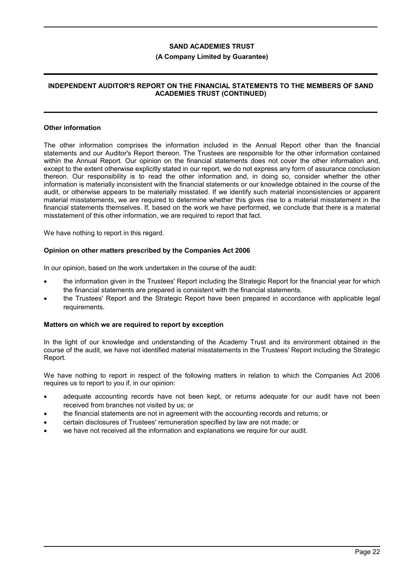#### **(A Company Limited by Guarantee)**

## **INDEPENDENT AUDITOR'S REPORT ON THE FINANCIAL STATEMENTS TO THE MEMBERS OF SAND ACADEMIES TRUST (CONTINUED)**

#### **Other information**

The other information comprises the information included in the Annual Report other than the financial statements and our Auditor's Report thereon. The Trustees are responsible for the other information contained within the Annual Report. Our opinion on the financial statements does not cover the other information and, except to the extent otherwise explicitly stated in our report, we do not express any form of assurance conclusion thereon. Our responsibility is to read the other information and, in doing so, consider whether the other information is materially inconsistent with the financial statements or our knowledge obtained in the course of the audit, or otherwise appears to be materially misstated. If we identify such material inconsistencies or apparent material misstatements, we are required to determine whether this gives rise to a material misstatement in the financial statements themselves. If, based on the work we have performed, we conclude that there is a material misstatement of this other information, we are required to report that fact.

We have nothing to report in this regard.

#### **Opinion on other matters prescribed by the Companies Act 2006**

In our opinion, based on the work undertaken in the course of the audit:

- the information given in the Trustees' Report including the Strategic Report for the financial year for which the financial statements are prepared is consistent with the financial statements.
- the Trustees' Report and the Strategic Report have been prepared in accordance with applicable legal requirements.

#### **Matters on which we are required to report by exception**

In the light of our knowledge and understanding of the Academy Trust and its environment obtained in the course of the audit, we have not identified material misstatements in the Trustees' Report including the Strategic Report.

We have nothing to report in respect of the following matters in relation to which the Companies Act 2006 requires us to report to you if, in our opinion:

- adequate accounting records have not been kept, or returns adequate for our audit have not been received from branches not visited by us; or
- the financial statements are not in agreement with the accounting records and returns; or
- certain disclosures of Trustees' remuneration specified by law are not made; or
- we have not received all the information and explanations we require for our audit.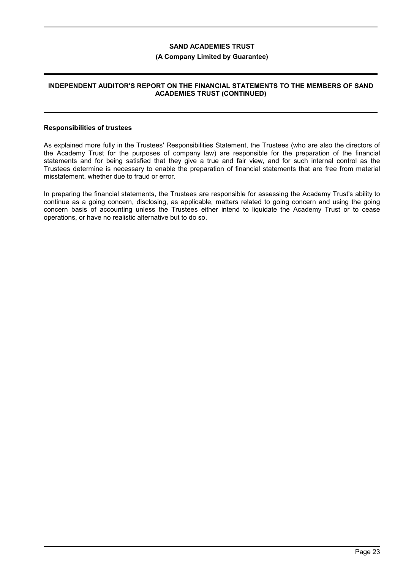#### **(A Company Limited by Guarantee)**

### **INDEPENDENT AUDITOR'S REPORT ON THE FINANCIAL STATEMENTS TO THE MEMBERS OF SAND ACADEMIES TRUST (CONTINUED)**

#### **Responsibilities of trustees**

As explained more fully in the Trustees' Responsibilities Statement, the Trustees (who are also the directors of the Academy Trust for the purposes of company law) are responsible for the preparation of the financial statements and for being satisfied that they give a true and fair view, and for such internal control as the Trustees determine is necessary to enable the preparation of financial statements that are free from material misstatement, whether due to fraud or error.

In preparing the financial statements, the Trustees are responsible for assessing the Academy Trust's ability to continue as a going concern, disclosing, as applicable, matters related to going concern and using the going concern basis of accounting unless the Trustees either intend to liquidate the Academy Trust or to cease operations, or have no realistic alternative but to do so.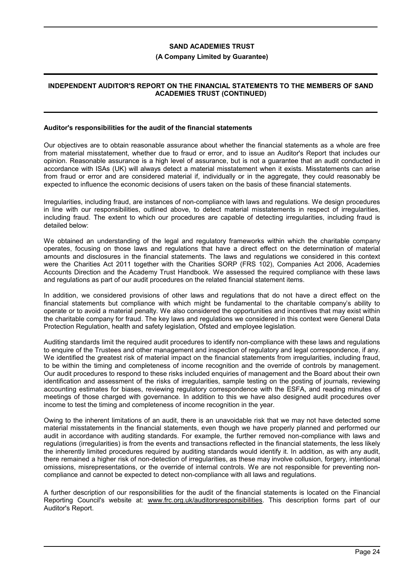#### **(A Company Limited by Guarantee)**

## **INDEPENDENT AUDITOR'S REPORT ON THE FINANCIAL STATEMENTS TO THE MEMBERS OF SAND ACADEMIES TRUST (CONTINUED)**

#### **Auditor's responsibilities for the audit of the financial statements**

Our objectives are to obtain reasonable assurance about whether the financial statements as a whole are free from material misstatement, whether due to fraud or error, and to issue an Auditor's Report that includes our opinion. Reasonable assurance is a high level of assurance, but is not a guarantee that an audit conducted in accordance with ISAs (UK) will always detect a material misstatement when it exists. Misstatements can arise from fraud or error and are considered material if, individually or in the aggregate, they could reasonably be expected to influence the economic decisions of users taken on the basis of these financial statements.

Irregularities, including fraud, are instances of non-compliance with laws and regulations. We design procedures in line with our responsibilities, outlined above, to detect material misstatements in respect of irregularities, including fraud. The extent to which our procedures are capable of detecting irregularities, including fraud is detailed below:

We obtained an understanding of the legal and regulatory frameworks within which the charitable company operates, focusing on those laws and regulations that have a direct effect on the determination of material amounts and disclosures in the financial statements. The laws and regulations we considered in this context were the Charities Act 2011 together with the Charities SORP (FRS 102), Companies Act 2006, Academies Accounts Direction and the Academy Trust Handbook. We assessed the required compliance with these laws and regulations as part of our audit procedures on the related financial statement items.

In addition, we considered provisions of other laws and regulations that do not have a direct effect on the financial statements but compliance with which might be fundamental to the charitable company's ability to operate or to avoid a material penalty. We also considered the opportunities and incentives that may exist within the charitable company for fraud. The key laws and regulations we considered in this context were General Data Protection Regulation, health and safety legislation, Ofsted and employee legislation.

Auditing standards limit the required audit procedures to identify non-compliance with these laws and regulations to enquire of the Trustees and other management and inspection of regulatory and legal correspondence, if any. We identified the greatest risk of material impact on the financial statements from irregularities, including fraud, to be within the timing and completeness of income recognition and the override of controls by management. Our audit procedures to respond to these risks included enquiries of management and the Board about their own identification and assessment of the risks of irregularities, sample testing on the posting of journals, reviewing accounting estimates for biases, reviewing regulatory correspondence with the ESFA, and reading minutes of meetings of those charged with governance. In addition to this we have also designed audit procedures over income to test the timing and completeness of income recognition in the year.

Owing to the inherent limitations of an audit, there is an unavoidable risk that we may not have detected some material misstatements in the financial statements, even though we have properly planned and performed our audit in accordance with auditing standards. For example, the further removed non-compliance with laws and regulations (irregularities) is from the events and transactions reflected in the financial statements, the less likely the inherently limited procedures required by auditing standards would identify it. In addition, as with any audit, there remained a higher risk of non-detection of irregularities, as these may involve collusion, forgery, intentional omissions, misrepresentations, or the override of internal controls. We are not responsible for preventing noncompliance and cannot be expected to detect non-compliance with all laws and regulations.

A further description of our responsibilities for the audit of the financial statements is located on the Financial Reporting Council's website at: www.frc.org.uk/auditorsresponsibilities. This description forms part of our Auditor's Report.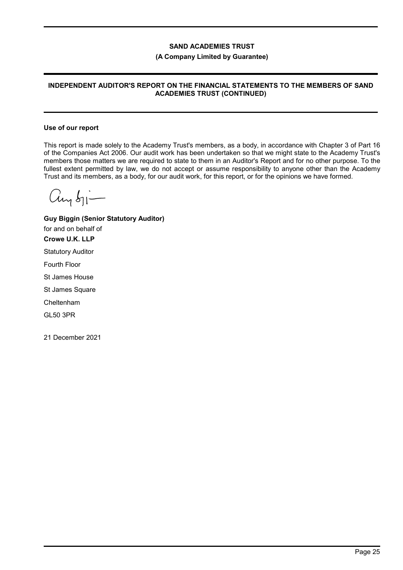### (A Company Limited by Guarantee)

## INDEPENDENT AUDITOR'S REPORT ON THE FINANCIAL STATEMENTS TO THE MEMBERS OF SAND ACADEMIES TRUST (CONTINUED)

#### Use of our report

This report is made solely to the Academy Trust's members, as a body, in accordance with Chapter 3 of Part 16 of the Companies Act 2006. Our audit work has been undertaken so that we might state to the Academy Trust's members those matters we are required to state to them in an Auditor's Report and for no other purpose. To the fullest extent permitted by law, we do not accept or assume responsibility to anyone other than the Academy Trust and its members, as a body, for our audit work, for this report, or for the opinions we have formed.

 $C_{\text{Ly}b1}-$ 

Guy Biggin (Senior Statutory Auditor) for and on behalf of Crowe U.K. LLP Statutory Auditor Fourth Floor St James House St James Square Cheltenham GL50 3PR 21 December 2021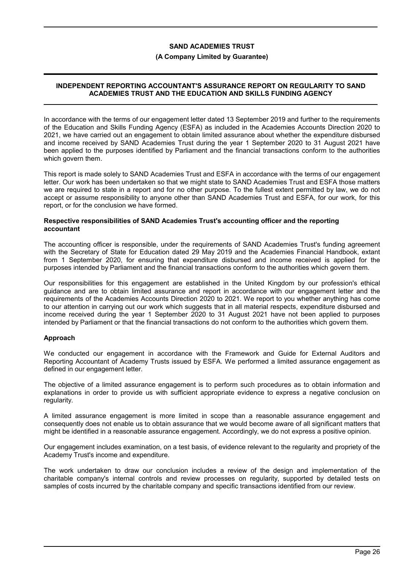#### **(A Company Limited by Guarantee)**

## **INDEPENDENT REPORTING ACCOUNTANT'S ASSURANCE REPORT ON REGULARITY TO SAND ACADEMIES TRUST AND THE EDUCATION AND SKILLS FUNDING AGENCY**

In accordance with the terms of our engagement letter dated 13 September 2019 and further to the requirements of the Education and Skills Funding Agency (ESFA) as included in the Academies Accounts Direction 2020 to 2021, we have carried out an engagement to obtain limited assurance about whether the expenditure disbursed and income received by SAND Academies Trust during the year 1 September 2020 to 31 August 2021 have been applied to the purposes identified by Parliament and the financial transactions conform to the authorities which govern them.

This report is made solely to SAND Academies Trust and ESFA in accordance with the terms of our engagement letter. Our work has been undertaken so that we might state to SAND Academies Trust and ESFA those matters we are required to state in a report and for no other purpose. To the fullest extent permitted by law, we do not accept or assume responsibility to anyone other than SAND Academies Trust and ESFA, for our work, for this report, or for the conclusion we have formed.

#### **Respective responsibilities of SAND Academies Trust's accounting officer and the reporting accountant**

The accounting officer is responsible, under the requirements of SAND Academies Trust's funding agreement with the Secretary of State for Education dated 29 May 2019 and the Academies Financial Handbook, extant from 1 September 2020, for ensuring that expenditure disbursed and income received is applied for the purposes intended by Parliament and the financial transactions conform to the authorities which govern them.

Our responsibilities for this engagement are established in the United Kingdom by our profession's ethical guidance and are to obtain limited assurance and report in accordance with our engagement letter and the requirements of the Academies Accounts Direction 2020 to 2021. We report to you whether anything has come to our attention in carrying out our work which suggests that in all material respects, expenditure disbursed and income received during the year 1 September 2020 to 31 August 2021 have not been applied to purposes intended by Parliament or that the financial transactions do not conform to the authorities which govern them.

## **Approach**

We conducted our engagement in accordance with the Framework and Guide for External Auditors and Reporting Accountant of Academy Trusts issued by ESFA. We performed a limited assurance engagement as defined in our engagement letter.

The objective of a limited assurance engagement is to perform such procedures as to obtain information and explanations in order to provide us with sufficient appropriate evidence to express a negative conclusion on regularity.

A limited assurance engagement is more limited in scope than a reasonable assurance engagement and consequently does not enable us to obtain assurance that we would become aware of all significant matters that might be identified in a reasonable assurance engagement. Accordingly, we do not express a positive opinion.

Our engagement includes examination, on a test basis, of evidence relevant to the regularity and propriety of the Academy Trust's income and expenditure.

The work undertaken to draw our conclusion includes a review of the design and implementation of the charitable company's internal controls and review processes on regularity, supported by detailed tests on samples of costs incurred by the charitable company and specific transactions identified from our review.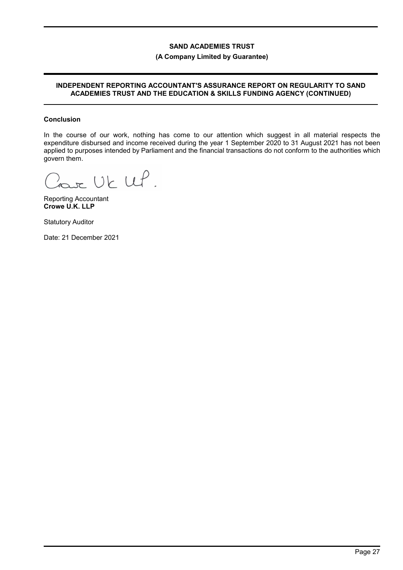## (A Company Limited by Guarantee)

### INDEPENDENT REPORTING ACCOUNTANT'S ASSURANCE REPORT ON REGULARITY TO SAND ACADEMIES TRUST AND THE EDUCATION & SKILLS FUNDING AGENCY (CONTINUED)

#### Conclusion

In the course of our work, nothing has come to our attention which suggest in all material respects the expenditure disbursed and income received during the year 1 September 2020 to 31 August 2021 has not been applied to purposes intended by Parliament and the financial transactions do not conform to the authorities which govern them.

Lour UK UP.

Reporting Accountant Crowe U.K. LLP

Statutory Auditor

Date: 21 December 2021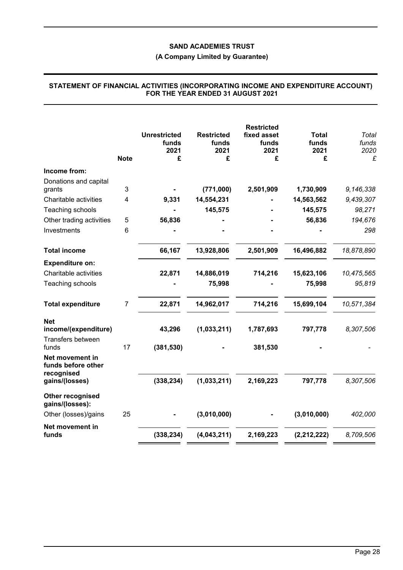## **(A Company Limited by Guarantee)**

|                                                         | <b>Note</b>    | <b>Unrestricted</b><br>funds<br>2021<br>£ | <b>Restricted</b><br>funds<br>2021<br>£ | <b>Restricted</b><br>fixed asset<br>funds<br>2021<br>£ | <b>Total</b><br>funds<br>2021<br>£ | Total<br>funds<br>2020<br>£ |
|---------------------------------------------------------|----------------|-------------------------------------------|-----------------------------------------|--------------------------------------------------------|------------------------------------|-----------------------------|
| Income from:                                            |                |                                           |                                         |                                                        |                                    |                             |
| Donations and capital                                   | 3              |                                           | (771,000)                               |                                                        | 1,730,909                          | 9,146,338                   |
| grants<br>Charitable activities                         | 4              | 9,331                                     | 14,554,231                              | 2,501,909                                              | 14,563,562                         | 9,439,307                   |
|                                                         |                |                                           | 145,575                                 |                                                        | 145,575                            | 98,271                      |
| Teaching schools<br>Other trading activities            | 5              | 56,836                                    |                                         |                                                        | 56,836                             | 194,676                     |
| Investments                                             | 6              |                                           |                                         |                                                        |                                    | 298                         |
|                                                         |                |                                           |                                         |                                                        |                                    |                             |
| <b>Total income</b>                                     |                | 66,167                                    | 13,928,806                              | 2,501,909                                              | 16,496,882                         | 18,878,890                  |
| <b>Expenditure on:</b>                                  |                |                                           |                                         |                                                        |                                    |                             |
| Charitable activities                                   |                | 22,871                                    | 14,886,019                              | 714,216                                                | 15,623,106                         | 10,475,565                  |
| Teaching schools                                        |                |                                           | 75,998                                  |                                                        | 75,998                             | 95,819                      |
| <b>Total expenditure</b>                                | $\overline{7}$ | 22,871                                    | 14,962,017                              | 714,216                                                | 15,699,104                         | 10,571,384                  |
| <b>Net</b><br>income/(expenditure)<br>Transfers between |                | 43,296                                    | (1,033,211)                             | 1,787,693                                              | 797,778                            | 8,307,506                   |
| funds                                                   | 17             | (381, 530)                                |                                         | 381,530                                                |                                    |                             |
| Net movement in<br>funds before other<br>recognised     |                |                                           |                                         |                                                        |                                    |                             |
| gains/(losses)                                          |                | (338, 234)                                | (1,033,211)                             | 2,169,223                                              | 797,778                            | 8,307,506                   |
| Other recognised<br>gains/(losses):                     |                |                                           |                                         |                                                        |                                    |                             |
| Other (losses)/gains                                    | 25             |                                           | (3,010,000)                             |                                                        | (3,010,000)                        | 402,000                     |
| Net movement in<br>funds                                |                | (338, 234)                                | (4,043,211)                             | 2,169,223                                              | (2, 212, 222)                      | 8,709,506                   |

#### **STATEMENT OF FINANCIAL ACTIVITIES (INCORPORATING INCOME AND EXPENDITURE ACCOUNT) FOR THE YEAR ENDED 31 AUGUST 2021**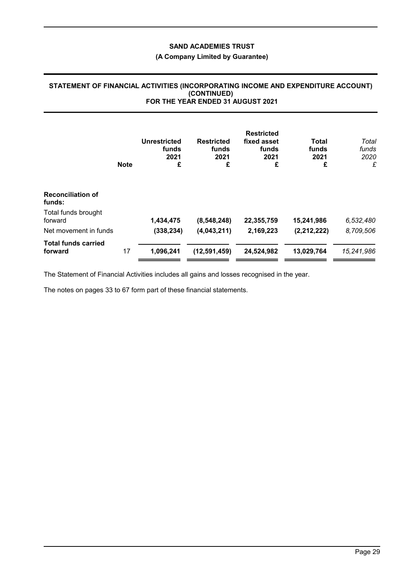## **(A Company Limited by Guarantee)**

## **STATEMENT OF FINANCIAL ACTIVITIES (INCORPORATING INCOME AND EXPENDITURE ACCOUNT) (CONTINUED) FOR THE YEAR ENDED 31 AUGUST 2021**

|                                       | <b>Note</b> | <b>Unrestricted</b><br>funds<br>2021<br>£ | <b>Restricted</b><br>funds<br>2021<br>£ | <b>Restricted</b><br>fixed asset<br>funds<br>2021<br>£ | Total<br>funds<br>2021<br>£ | Total<br>funds<br>2020<br>£ |
|---------------------------------------|-------------|-------------------------------------------|-----------------------------------------|--------------------------------------------------------|-----------------------------|-----------------------------|
| <b>Reconciliation of</b><br>funds:    |             |                                           |                                         |                                                        |                             |                             |
| Total funds brought<br>forward        |             | 1,434,475                                 | (8,548,248)                             | 22,355,759                                             | 15,241,986                  | 6,532,480                   |
| Net movement in funds                 |             | (338, 234)                                | (4,043,211)                             | 2,169,223                                              | (2,212,222)                 | 8,709,506                   |
| <b>Total funds carried</b><br>forward | 17          | 1,096,241                                 | (12, 591, 459)                          | 24,524,982                                             | 13,029,764                  | 15,241,986                  |

The Statement of Financial Activities includes all gains and losses recognised in the year.

The notes on pages 33 to 67 form part of these financial statements.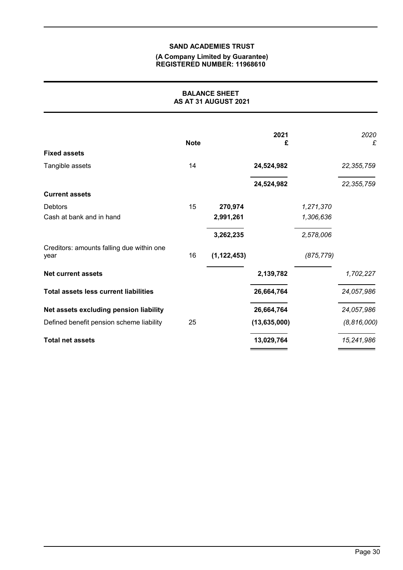#### **(A Company Limited by Guarantee) REGISTERED NUMBER: 11968610**

| <b>BALANCE SHEET</b><br>AS AT 31 AUGUST 2021      |             |               |                |            |               |
|---------------------------------------------------|-------------|---------------|----------------|------------|---------------|
|                                                   | <b>Note</b> |               | 2021<br>£      |            | 2020<br>£     |
| <b>Fixed assets</b>                               |             |               |                |            |               |
| Tangible assets                                   | 14          |               | 24,524,982     |            | 22, 355, 759  |
|                                                   |             |               | 24,524,982     |            | 22, 355, 759  |
| <b>Current assets</b>                             |             |               |                |            |               |
| <b>Debtors</b>                                    | 15          | 270,974       |                | 1,271,370  |               |
| Cash at bank and in hand                          |             | 2,991,261     |                | 1,306,636  |               |
|                                                   |             | 3,262,235     |                | 2,578,006  |               |
| Creditors: amounts falling due within one<br>year | 16          | (1, 122, 453) |                | (875, 779) |               |
| <b>Net current assets</b>                         |             |               | 2,139,782      |            | 1,702,227     |
| <b>Total assets less current liabilities</b>      |             |               | 26,664,764     |            | 24,057,986    |
| Net assets excluding pension liability            |             |               | 26,664,764     |            | 24,057,986    |
| Defined benefit pension scheme liability          | 25          |               | (13, 635, 000) |            | (8, 816, 000) |
| <b>Total net assets</b>                           |             |               | 13,029,764     |            | 15,241,986    |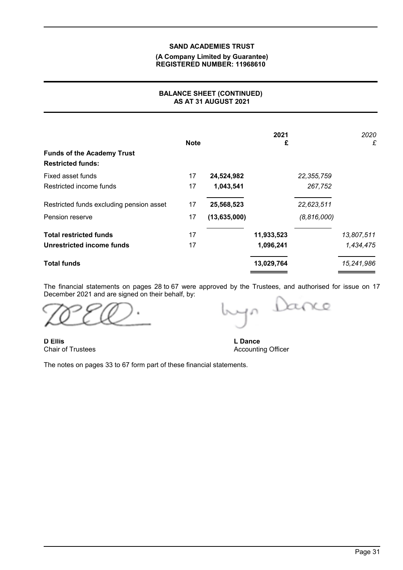## **(A Company Limited by Guarantee) REGISTERED NUMBER: 11968610**

## **BALANCE SHEET (CONTINUED) AS AT 31 AUGUST 2021**

| <b>Funds of the Academy Trust</b><br><b>Restricted funds:</b> | <b>Note</b> |              | 2021<br>£  |               | 2020<br>£  |
|---------------------------------------------------------------|-------------|--------------|------------|---------------|------------|
| Fixed asset funds                                             | 17          | 24,524,982   |            | 22, 355, 759  |            |
| Restricted income funds                                       | 17          | 1,043,541    |            | 267,752       |            |
| Restricted funds excluding pension asset                      | 17          | 25,568,523   |            | 22,623,511    |            |
| Pension reserve                                               | 17          | (13,635,000) |            | (8, 816, 000) |            |
| <b>Total restricted funds</b>                                 | 17          |              | 11,933,523 |               | 13,807,511 |
| Unrestricted income funds                                     | 17          |              | 1,096,241  |               | 1,434,475  |
| <b>Total funds</b>                                            |             |              | 13,029,764 |               | 15,241,986 |

The financial statements on pages 28 to 67 were approved by the Trustees, and authorised for issue on 17 December 2021 and are signed on their behalf, by:

anc  $\bar{A}$ 

**D Ellis** Chair of Trustees

**L Dance** Accounting Officer

The notes on pages 33 to 67 form part of these financial statements.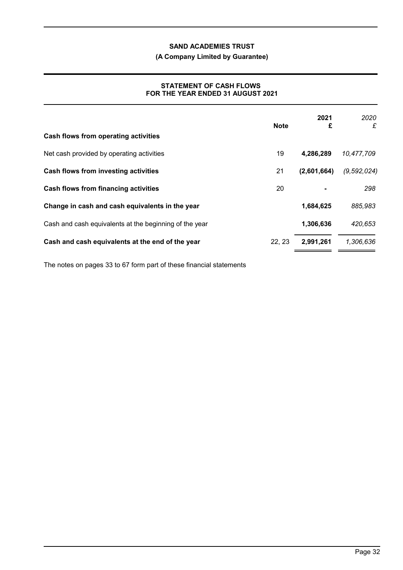## **(A Company Limited by Guarantee)**

## **STATEMENT OF CASH FLOWS FOR THE YEAR ENDED 31 AUGUST 2021**

|                                                        | <b>Note</b> | 2021<br>£   | 2020<br>£     |
|--------------------------------------------------------|-------------|-------------|---------------|
| Cash flows from operating activities                   |             |             |               |
| Net cash provided by operating activities              | 19          | 4,286,289   | 10,477,709    |
| Cash flows from investing activities                   | 21          | (2,601,664) | (9, 592, 024) |
| Cash flows from financing activities                   | 20          |             | 298           |
| Change in cash and cash equivalents in the year        |             | 1,684,625   | 885,983       |
| Cash and cash equivalents at the beginning of the year |             | 1,306,636   | 420,653       |
| Cash and cash equivalents at the end of the year       | 22.23       | 2,991,261   | 1,306,636     |

The notes on pages 33 to 67 form part of these financial statements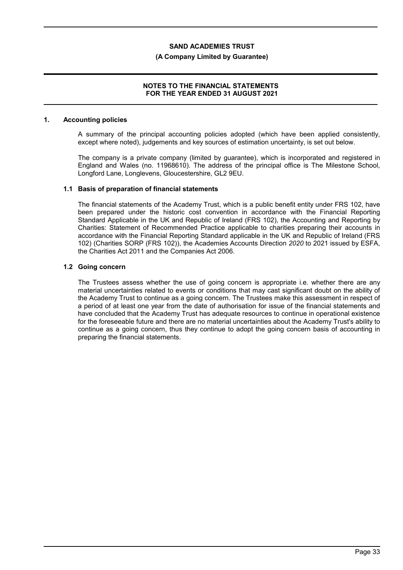#### **(A Company Limited by Guarantee)**

## **NOTES TO THE FINANCIAL STATEMENTS FOR THE YEAR ENDED 31 AUGUST 2021**

#### **1. Accounting policies**

A summary of the principal accounting policies adopted (which have been applied consistently, except where noted), judgements and key sources of estimation uncertainty, is set out below.

The company is a private company (limited by guarantee), which is incorporated and registered in England and Wales (no. 11968610). The address of the principal office is The Milestone School, Longford Lane, Longlevens, Gloucestershire, GL2 9EU.

#### **1.1 Basis of preparation of financial statements**

The financial statements of the Academy Trust, which is a public benefit entity under FRS 102, have been prepared under the historic cost convention in accordance with the Financial Reporting Standard Applicable in the UK and Republic of Ireland (FRS 102), the Accounting and Reporting by Charities: Statement of Recommended Practice applicable to charities preparing their accounts in accordance with the Financial Reporting Standard applicable in the UK and Republic of Ireland (FRS 102) (Charities SORP (FRS 102)), the Academies Accounts Direction *2020* to 2021 issued by ESFA, the Charities Act 2011 and the Companies Act 2006.

#### **1.2 Going concern**

The Trustees assess whether the use of going concern is appropriate i.e. whether there are any material uncertainties related to events or conditions that may cast significant doubt on the ability of the Academy Trust to continue as a going concern. The Trustees make this assessment in respect of a period of at least one year from the date of authorisation for issue of the financial statements and have concluded that the Academy Trust has adequate resources to continue in operational existence for the foreseeable future and there are no material uncertainties about the Academy Trust's ability to continue as a going concern, thus they continue to adopt the going concern basis of accounting in preparing the financial statements.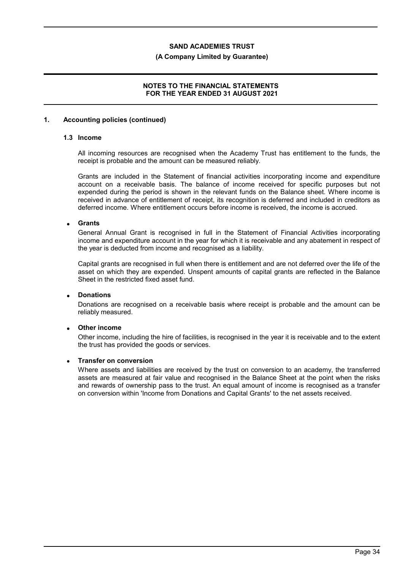#### **(A Company Limited by Guarantee)**

## **NOTES TO THE FINANCIAL STATEMENTS FOR THE YEAR ENDED 31 AUGUST 2021**

#### **1. Accounting policies (continued)**

## **1.3 Income**

All incoming resources are recognised when the Academy Trust has entitlement to the funds, the receipt is probable and the amount can be measured reliably.

Grants are included in the Statement of financial activities incorporating income and expenditure account on a receivable basis. The balance of income received for specific purposes but not expended during the period is shown in the relevant funds on the Balance sheet. Where income is received in advance of entitlement of receipt, its recognition is deferred and included in creditors as deferred income. Where entitlement occurs before income is received, the income is accrued.

#### **Grants**

General Annual Grant is recognised in full in the Statement of Financial Activities incorporating income and expenditure account in the year for which it is receivable and any abatement in respect of the year is deducted from income and recognised as a liability.

Capital grants are recognised in full when there is entitlement and are not deferred over the life of the asset on which they are expended. Unspent amounts of capital grants are reflected in the Balance Sheet in the restricted fixed asset fund.

## **Donations**

Donations are recognised on a receivable basis where receipt is probable and the amount can be reliably measured.

## **Other income**

Other income, including the hire of facilities, is recognised in the year it is receivable and to the extent the trust has provided the goods or services.

## **Transfer on conversion**

Where assets and liabilities are received by the trust on conversion to an academy, the transferred assets are measured at fair value and recognised in the Balance Sheet at the point when the risks and rewards of ownership pass to the trust. An equal amount of income is recognised as a transfer on conversion within 'Income from Donations and Capital Grants' to the net assets received.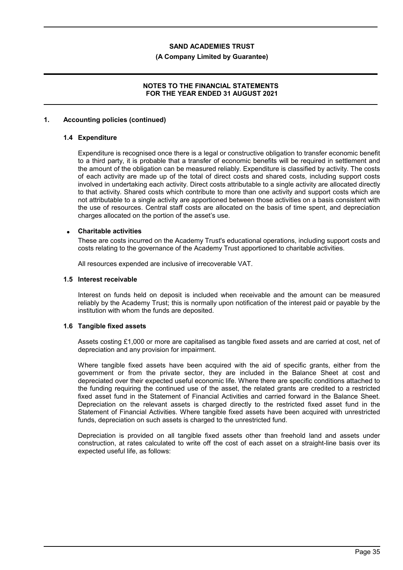#### **(A Company Limited by Guarantee)**

## **NOTES TO THE FINANCIAL STATEMENTS FOR THE YEAR ENDED 31 AUGUST 2021**

#### **1. Accounting policies (continued)**

### **1.4 Expenditure**

Expenditure is recognised once there is a legal or constructive obligation to transfer economic benefit to a third party, it is probable that a transfer of economic benefits will be required in settlement and the amount of the obligation can be measured reliably. Expenditure is classified by activity. The costs of each activity are made up of the total of direct costs and shared costs, including support costs involved in undertaking each activity. Direct costs attributable to a single activity are allocated directly to that activity. Shared costs which contribute to more than one activity and support costs which are not attributable to a single activity are apportioned between those activities on a basis consistent with the use of resources. Central staff costs are allocated on the basis of time spent, and depreciation charges allocated on the portion of the asset's use.

#### **Charitable activities**

These are costs incurred on the Academy Trust's educational operations, including support costs and costs relating to the governance of the Academy Trust apportioned to charitable activities.

All resources expended are inclusive of irrecoverable VAT.

#### **1.5 Interest receivable**

Interest on funds held on deposit is included when receivable and the amount can be measured reliably by the Academy Trust; this is normally upon notification of the interest paid or payable by the institution with whom the funds are deposited.

#### **1.6 Tangible fixed assets**

Assets costing £1,000 or more are capitalised as tangible fixed assets and are carried at cost, net of depreciation and any provision for impairment.

Where tangible fixed assets have been acquired with the aid of specific grants, either from the government or from the private sector, they are included in the Balance Sheet at cost and depreciated over their expected useful economic life. Where there are specific conditions attached to the funding requiring the continued use of the asset, the related grants are credited to a restricted fixed asset fund in the Statement of Financial Activities and carried forward in the Balance Sheet. Depreciation on the relevant assets is charged directly to the restricted fixed asset fund in the Statement of Financial Activities. Where tangible fixed assets have been acquired with unrestricted funds, depreciation on such assets is charged to the unrestricted fund.

Depreciation is provided on all tangible fixed assets other than freehold land and assets under construction, at rates calculated to write off the cost of each asset on a straight-line basis over its expected useful life, as follows: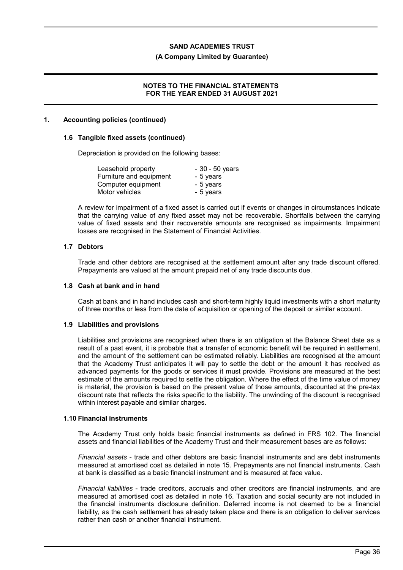#### **(A Company Limited by Guarantee)**

## **NOTES TO THE FINANCIAL STATEMENTS FOR THE YEAR ENDED 31 AUGUST 2021**

#### **1. Accounting policies (continued)**

#### **1.6 Tangible fixed assets (continued)**

Depreciation is provided on the following bases:

| Leasehold property      | $-30 - 50$ years |
|-------------------------|------------------|
| Furniture and equipment | - 5 years        |
| Computer equipment      | - 5 years        |
| Motor vehicles          | - 5 years        |

A review for impairment of a fixed asset is carried out if events or changes in circumstances indicate that the carrying value of any fixed asset may not be recoverable. Shortfalls between the carrying value of fixed assets and their recoverable amounts are recognised as impairments. Impairment losses are recognised in the Statement of Financial Activities.

## **1.7 Debtors**

Trade and other debtors are recognised at the settlement amount after any trade discount offered. Prepayments are valued at the amount prepaid net of any trade discounts due.

#### **1.8 Cash at bank and in hand**

Cash at bank and in hand includes cash and short-term highly liquid investments with a short maturity of three months or less from the date of acquisition or opening of the deposit or similar account.

## **1.9 Liabilities and provisions**

Liabilities and provisions are recognised when there is an obligation at the Balance Sheet date as a result of a past event, it is probable that a transfer of economic benefit will be required in settlement, and the amount of the settlement can be estimated reliably. Liabilities are recognised at the amount that the Academy Trust anticipates it will pay to settle the debt or the amount it has received as advanced payments for the goods or services it must provide. Provisions are measured at the best estimate of the amounts required to settle the obligation. Where the effect of the time value of money is material, the provision is based on the present value of those amounts, discounted at the pre-tax discount rate that reflects the risks specific to the liability. The unwinding of the discount is recognised within interest payable and similar charges.

## **1.10 Financial instruments**

The Academy Trust only holds basic financial instruments as defined in FRS 102. The financial assets and financial liabilities of the Academy Trust and their measurement bases are as follows:

*Financial assets* - trade and other debtors are basic financial instruments and are debt instruments measured at amortised cost as detailed in note 15. Prepayments are not financial instruments. Cash at bank is classified as a basic financial instrument and is measured at face value.

*Financial liabilities* - trade creditors, accruals and other creditors are financial instruments, and are measured at amortised cost as detailed in note 16. Taxation and social security are not included in the financial instruments disclosure definition. Deferred income is not deemed to be a financial liability, as the cash settlement has already taken place and there is an obligation to deliver services rather than cash or another financial instrument.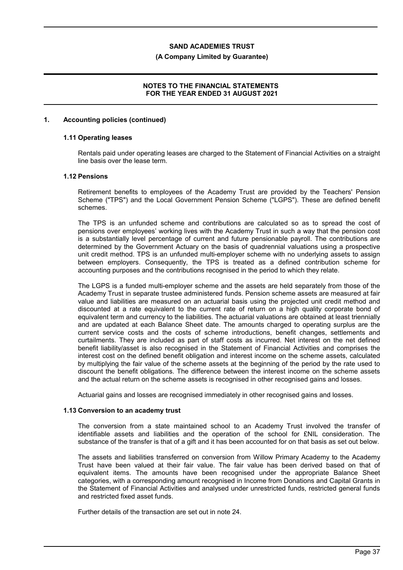#### **(A Company Limited by Guarantee)**

## **NOTES TO THE FINANCIAL STATEMENTS FOR THE YEAR ENDED 31 AUGUST 2021**

#### **1. Accounting policies (continued)**

#### **1.11 Operating leases**

Rentals paid under operating leases are charged to the Statement of Financial Activities on a straight line basis over the lease term.

### **1.12 Pensions**

Retirement benefits to employees of the Academy Trust are provided by the Teachers' Pension Scheme ("TPS") and the Local Government Pension Scheme ("LGPS"). These are defined benefit schemes.

The TPS is an unfunded scheme and contributions are calculated so as to spread the cost of pensions over employees' working lives with the Academy Trust in such a way that the pension cost is a substantially level percentage of current and future pensionable payroll. The contributions are determined by the Government Actuary on the basis of quadrennial valuations using a prospective unit credit method. TPS is an unfunded multi-employer scheme with no underlying assets to assign between employers. Consequently, the TPS is treated as a defined contribution scheme for accounting purposes and the contributions recognised in the period to which they relate.

The LGPS is a funded multi-employer scheme and the assets are held separately from those of the Academy Trust in separate trustee administered funds. Pension scheme assets are measured at fair value and liabilities are measured on an actuarial basis using the projected unit credit method and discounted at a rate equivalent to the current rate of return on a high quality corporate bond of equivalent term and currency to the liabilities. The actuarial valuations are obtained at least triennially and are updated at each Balance Sheet date. The amounts charged to operating surplus are the current service costs and the costs of scheme introductions, benefit changes, settlements and curtailments. They are included as part of staff costs as incurred. Net interest on the net defined benefit liability/asset is also recognised in the Statement of Financial Activities and comprises the interest cost on the defined benefit obligation and interest income on the scheme assets, calculated by multiplying the fair value of the scheme assets at the beginning of the period by the rate used to discount the benefit obligations. The difference between the interest income on the scheme assets and the actual return on the scheme assets is recognised in other recognised gains and losses.

Actuarial gains and losses are recognised immediately in other recognised gains and losses.

#### **1.13 Conversion to an academy trust**

The conversion from a state maintained school to an Academy Trust involved the transfer of identifiable assets and liabilities and the operation of the school for £NIL consideration. The substance of the transfer is that of a gift and it has been accounted for on that basis as set out below.

The assets and liabilities transferred on conversion from Willow Primary Academy to the Academy Trust have been valued at their fair value. The fair value has been derived based on that of equivalent items. The amounts have been recognised under the appropriate Balance Sheet categories, with a corresponding amount recognised in Income from Donations and Capital Grants in the Statement of Financial Activities and analysed under unrestricted funds, restricted general funds and restricted fixed asset funds.

Further details of the transaction are set out in note 24.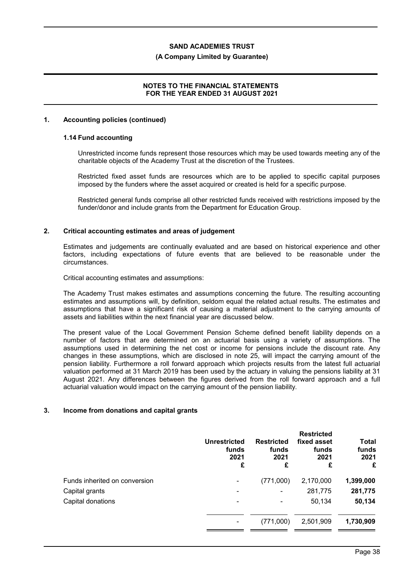#### **(A Company Limited by Guarantee)**

## **NOTES TO THE FINANCIAL STATEMENTS FOR THE YEAR ENDED 31 AUGUST 2021**

#### **1. Accounting policies (continued)**

#### **1.14 Fund accounting**

Unrestricted income funds represent those resources which may be used towards meeting any of the charitable objects of the Academy Trust at the discretion of the Trustees.

Restricted fixed asset funds are resources which are to be applied to specific capital purposes imposed by the funders where the asset acquired or created is held for a specific purpose.

Restricted general funds comprise all other restricted funds received with restrictions imposed by the funder/donor and include grants from the Department for Education Group.

## **2. Critical accounting estimates and areas of judgement**

Estimates and judgements are continually evaluated and are based on historical experience and other factors, including expectations of future events that are believed to be reasonable under the circumstances.

Critical accounting estimates and assumptions:

The Academy Trust makes estimates and assumptions concerning the future. The resulting accounting estimates and assumptions will, by definition, seldom equal the related actual results. The estimates and assumptions that have a significant risk of causing a material adjustment to the carrying amounts of assets and liabilities within the next financial year are discussed below.

The present value of the Local Government Pension Scheme defined benefit liability depends on a number of factors that are determined on an actuarial basis using a variety of assumptions. The assumptions used in determining the net cost or income for pensions include the discount rate. Any changes in these assumptions, which are disclosed in note 25, will impact the carrying amount of the pension liability. Furthermore a roll forward approach which projects results from the latest full actuarial valuation performed at 31 March 2019 has been used by the actuary in valuing the pensions liability at 31 August 2021. Any differences between the figures derived from the roll forward approach and a full actuarial valuation would impact on the carrying amount of the pension liability.

#### **3. Income from donations and capital grants**

|                               | Unrestricted<br>funds<br>2021<br>£ | <b>Restricted</b><br>funds<br>2021<br>£ | <b>Restricted</b><br>fixed asset<br>funds<br>2021<br>£ | Total<br>funds<br>2021<br>£ |
|-------------------------------|------------------------------------|-----------------------------------------|--------------------------------------------------------|-----------------------------|
| Funds inherited on conversion | -                                  | (771,000)                               | 2,170,000                                              | 1,399,000                   |
| Capital grants                | ۰                                  | ۰                                       | 281,775                                                | 281,775                     |
| Capital donations             | ۰                                  | ۰                                       | 50,134                                                 | 50,134                      |
|                               |                                    | (771,000)                               | 2,501,909                                              | 1,730,909                   |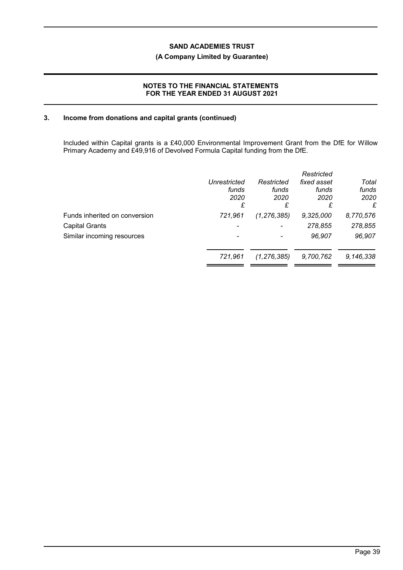## **(A Company Limited by Guarantee)**

## **NOTES TO THE FINANCIAL STATEMENTS FOR THE YEAR ENDED 31 AUGUST 2021**

## **3. Income from donations and capital grants (continued)**

Included within Capital grants is a £40,000 Environmental Improvement Grant from the DfE for Willow Primary Academy and £49,916 of Devolved Formula Capital funding from the DfE.

|                               | Unrestricted<br>funds<br>2020<br>£ | Restricted<br>funds<br>2020<br>£ | Restricted<br>fixed asset<br>funds<br>2020<br>£ | Total<br>funds<br>2020<br>£ |
|-------------------------------|------------------------------------|----------------------------------|-------------------------------------------------|-----------------------------|
| Funds inherited on conversion | 721,961                            | (1, 276, 385)                    | 9,325,000                                       | 8,770,576                   |
| <b>Capital Grants</b>         |                                    |                                  | 278,855                                         | 278,855                     |
| Similar incoming resources    |                                    |                                  | 96.907                                          | 96,907                      |
|                               | 721,961                            | (1, 276, 385)                    | 9,700,762                                       | 9,146,338                   |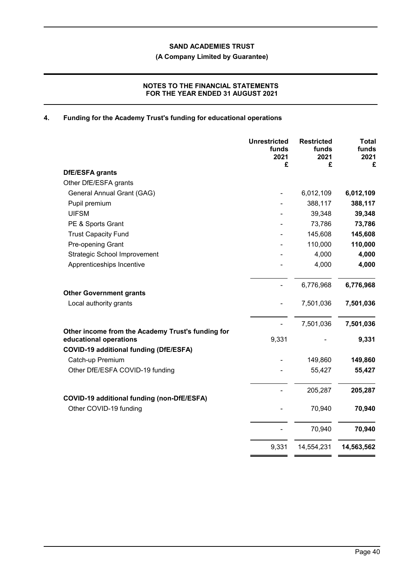**(A Company Limited by Guarantee)**

## **NOTES TO THE FINANCIAL STATEMENTS FOR THE YEAR ENDED 31 AUGUST 2021**

# **4. Funding for the Academy Trust's funding for educational operations**

|                                                                             | <b>Unrestricted</b><br>funds<br>2021<br>£ | <b>Restricted</b><br>funds<br>2021<br>£ | Total<br>funds<br>2021<br>£ |
|-----------------------------------------------------------------------------|-------------------------------------------|-----------------------------------------|-----------------------------|
| DfE/ESFA grants                                                             |                                           |                                         |                             |
| Other DfE/ESFA grants                                                       |                                           |                                         |                             |
| General Annual Grant (GAG)                                                  |                                           | 6,012,109                               | 6,012,109                   |
| Pupil premium                                                               |                                           | 388,117                                 | 388,117                     |
| <b>UIFSM</b>                                                                |                                           | 39,348                                  | 39,348                      |
| PE & Sports Grant                                                           |                                           | 73,786                                  | 73,786                      |
| <b>Trust Capacity Fund</b>                                                  |                                           | 145,608                                 | 145,608                     |
| Pre-opening Grant                                                           |                                           | 110,000                                 | 110,000                     |
| <b>Strategic School Improvement</b>                                         |                                           | 4,000                                   | 4,000                       |
| Apprenticeships Incentive                                                   |                                           | 4,000                                   | 4,000                       |
|                                                                             |                                           | 6,776,968                               | 6,776,968                   |
| <b>Other Government grants</b>                                              |                                           |                                         |                             |
| Local authority grants                                                      |                                           | 7,501,036                               | 7,501,036                   |
|                                                                             |                                           | 7,501,036                               | 7,501,036                   |
| Other income from the Academy Trust's funding for<br>educational operations | 9,331                                     |                                         | 9,331                       |
| <b>COVID-19 additional funding (DfE/ESFA)</b>                               |                                           |                                         |                             |
| Catch-up Premium                                                            |                                           | 149,860                                 | 149,860                     |
| Other DfE/ESFA COVID-19 funding                                             |                                           | 55,427                                  | 55,427                      |
| <b>COVID-19 additional funding (non-DfE/ESFA)</b>                           |                                           | 205,287                                 | 205,287                     |
| Other COVID-19 funding                                                      |                                           | 70,940                                  | 70,940                      |
|                                                                             |                                           | 70,940                                  | 70,940                      |
|                                                                             | 9,331                                     | 14,554,231                              | 14,563,562                  |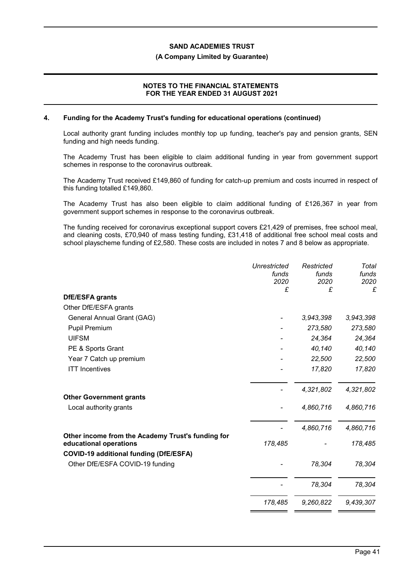#### **(A Company Limited by Guarantee)**

## **NOTES TO THE FINANCIAL STATEMENTS FOR THE YEAR ENDED 31 AUGUST 2021**

#### **4. Funding for the Academy Trust's funding for educational operations (continued)**

Local authority grant funding includes monthly top up funding, teacher's pay and pension grants, SEN funding and high needs funding.

The Academy Trust has been eligible to claim additional funding in year from government support schemes in response to the coronavirus outbreak.

The Academy Trust received £149,860 of funding for catch-up premium and costs incurred in respect of this funding totalled £149,860.

The Academy Trust has also been eligible to claim additional funding of £126,367 in year from government support schemes in response to the coronavirus outbreak.

The funding received for coronavirus exceptional support covers £21,429 of premises, free school meal, and cleaning costs, £70,940 of mass testing funding, £31,418 of additional free school meal costs and school playscheme funding of £2,580. These costs are included in notes 7 and 8 below as appropriate.

|                                                                                                                              | <b>Unrestricted</b><br>funds | Restricted<br>funds | Total<br>funds |
|------------------------------------------------------------------------------------------------------------------------------|------------------------------|---------------------|----------------|
|                                                                                                                              | 2020<br>£                    | 2020<br>£           | 2020<br>£      |
| DfE/ESFA grants                                                                                                              |                              |                     |                |
| Other DfE/ESFA grants                                                                                                        |                              |                     |                |
| General Annual Grant (GAG)                                                                                                   |                              | 3,943,398           | 3,943,398      |
| <b>Pupil Premium</b>                                                                                                         |                              | 273,580             | 273,580        |
| <b>UIFSM</b>                                                                                                                 |                              | 24,364              | 24,364         |
| PE & Sports Grant                                                                                                            |                              | 40,140              | 40,140         |
| Year 7 Catch up premium                                                                                                      |                              | 22,500              | 22,500         |
| <b>ITT</b> Incentives                                                                                                        |                              | 17,820              | 17,820         |
|                                                                                                                              |                              | 4,321,802           | 4,321,802      |
| <b>Other Government grants</b>                                                                                               |                              |                     |                |
| Local authority grants                                                                                                       |                              | 4,860,716           | 4,860,716      |
|                                                                                                                              |                              | 4,860,716           | 4,860,716      |
| Other income from the Academy Trust's funding for<br>educational operations<br><b>COVID-19 additional funding (DfE/ESFA)</b> | 178,485                      |                     | 178,485        |
| Other DfE/ESFA COVID-19 funding                                                                                              |                              | 78,304              | 78,304         |
|                                                                                                                              |                              | 78,304              | 78,304         |
|                                                                                                                              | 178,485                      | 9,260,822           | 9,439,307      |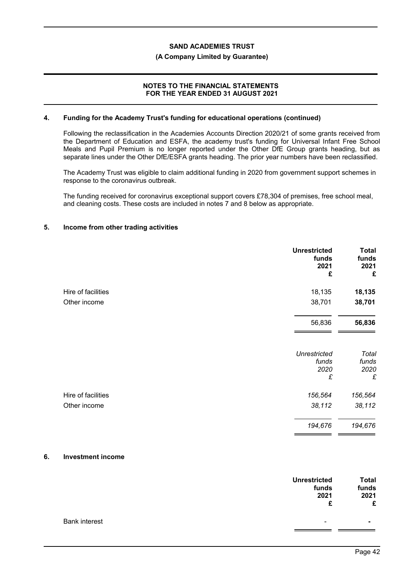#### **(A Company Limited by Guarantee)**

## **NOTES TO THE FINANCIAL STATEMENTS FOR THE YEAR ENDED 31 AUGUST 2021**

#### **4. Funding for the Academy Trust's funding for educational operations (continued)**

Following the reclassification in the Academies Accounts Direction 2020/21 of some grants received from the Department of Education and ESFA, the academy trust's funding for Universal Infant Free School Meals and Pupil Premium is no longer reported under the Other DfE Group grants heading, but as separate lines under the Other DfE/ESFA grants heading. The prior year numbers have been reclassified.

The Academy Trust was eligible to claim additional funding in 2020 from government support schemes in response to the coronavirus outbreak.

The funding received for coronavirus exceptional support covers £78,304 of premises, free school meal, and cleaning costs. These costs are included in notes 7 and 8 below as appropriate.

#### **5. Income from other trading activities**

| <b>Unrestricted</b><br>funds<br>2021<br>£ | <b>Total</b><br>funds<br>2021<br>£ |
|-------------------------------------------|------------------------------------|
| 18,135                                    | 18,135                             |
| 38,701                                    | 38,701                             |
| 56,836                                    | 56,836                             |
| <b>Unrestricted</b><br>funds<br>2020<br>£ | Total<br>funds<br>2020<br>£        |
| 156,564                                   | 156,564                            |
| 38,112                                    | 38,112                             |
| 194,676                                   | 194,676                            |
|                                           |                                    |

### **6. Investment income**

|                      | <b>Unrestricted</b><br>funds | <b>Total</b><br>funds |
|----------------------|------------------------------|-----------------------|
|                      | 2021                         | 2021                  |
|                      | £                            | £                     |
| <b>Bank interest</b> | ٠                            | $\blacksquare$        |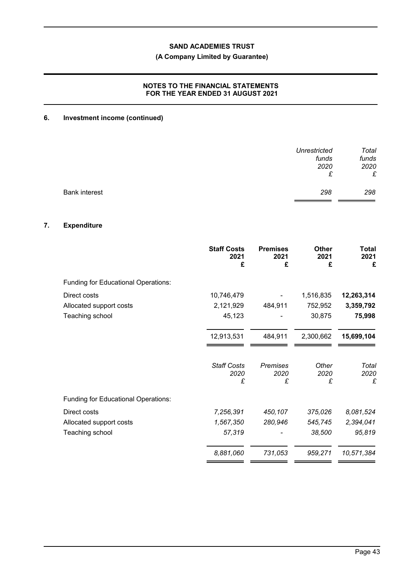## **(A Company Limited by Guarantee)**

## **NOTES TO THE FINANCIAL STATEMENTS FOR THE YEAR ENDED 31 AUGUST 2021**

# **6. Investment income (continued)**

|                      | <b>Unrestricted</b><br>funds | Total<br>funds |
|----------------------|------------------------------|----------------|
|                      | 2020                         | 2020           |
|                      | £                            | £              |
| <b>Bank interest</b> | 298                          | 298            |

## **7. Expenditure**

|                                            | <b>Staff Costs</b><br>2021<br>£ | <b>Premises</b><br>2021<br>£ | Other<br>2021<br>£ | <b>Total</b><br>2021<br>£ |
|--------------------------------------------|---------------------------------|------------------------------|--------------------|---------------------------|
| <b>Funding for Educational Operations:</b> |                                 |                              |                    |                           |
| Direct costs                               | 10,746,479                      |                              | 1,516,835          | 12,263,314                |
| Allocated support costs                    | 2,121,929                       | 484,911                      | 752,952            | 3,359,792                 |
| Teaching school                            | 45,123                          |                              | 30,875             | 75,998                    |
|                                            | 12,913,531                      | 484,911                      | 2,300,662          | 15,699,104                |
|                                            | <b>Staff Costs</b><br>2020      | Premises<br>2020             | Other<br>2020      | Total<br>2020             |
|                                            | £                               | £                            | £                  | £                         |
| Funding for Educational Operations:        |                                 |                              |                    |                           |
| Direct costs                               | 7,256,391                       | 450,107                      | 375,026            | 8,081,524                 |
| Allocated support costs                    | 1,567,350                       | 280,946                      | 545,745            | 2,394,041                 |
| Teaching school                            | 57,319                          |                              | 38,500             | 95,819                    |
|                                            | 8,881,060                       | 731,053                      | 959,271            | 10,571,384                |

 $\blacksquare$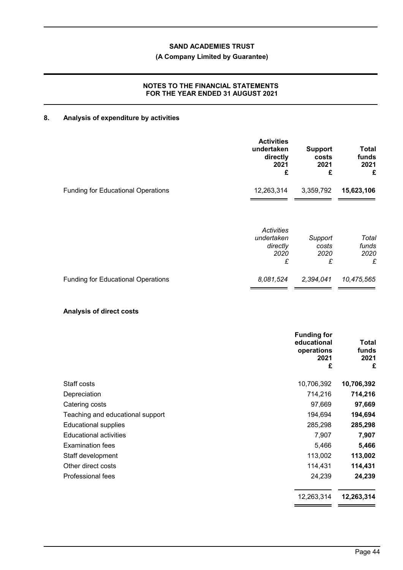## **(A Company Limited by Guarantee)**

## **NOTES TO THE FINANCIAL STATEMENTS FOR THE YEAR ENDED 31 AUGUST 2021**

# **8. Analysis of expenditure by activities**

|                                           | <b>Activities</b><br>undertaken<br>directly<br>2021<br>£ | <b>Support</b><br>costs<br>2021<br>£ | Total<br>funds<br>2021<br>£ |
|-------------------------------------------|----------------------------------------------------------|--------------------------------------|-----------------------------|
| <b>Funding for Educational Operations</b> | 12,263,314                                               | 3,359,792                            | 15,623,106                  |
|                                           | Activities<br>undertaken<br>directly<br>2020<br>£        | Support<br>costs<br>2020<br>£        | Total<br>funds<br>2020<br>£ |
| <b>Funding for Educational Operations</b> | 8,081,524                                                | 2,394,041                            | 10,475,565                  |

## **Analysis of direct costs**

| <b>Funding for</b><br>educational<br>operations<br>2021<br>£ | Total<br>funds<br>2021<br>£ |
|--------------------------------------------------------------|-----------------------------|
| Staff costs<br>10,706,392                                    | 10,706,392                  |
| 714,216<br>Depreciation                                      | 714,216                     |
| 97,669<br>Catering costs                                     | 97,669                      |
| 194,694<br>Teaching and educational support                  | 194,694                     |
| 285,298<br><b>Educational supplies</b>                       | 285,298                     |
| <b>Educational activities</b><br>7,907                       | 7,907                       |
| <b>Examination fees</b><br>5,466                             | 5,466                       |
| 113,002<br>Staff development                                 | 113,002                     |
| Other direct costs<br>114,431                                | 114,431                     |
| 24,239<br>Professional fees                                  | 24,239                      |
| 12,263,314                                                   | 12,263,314                  |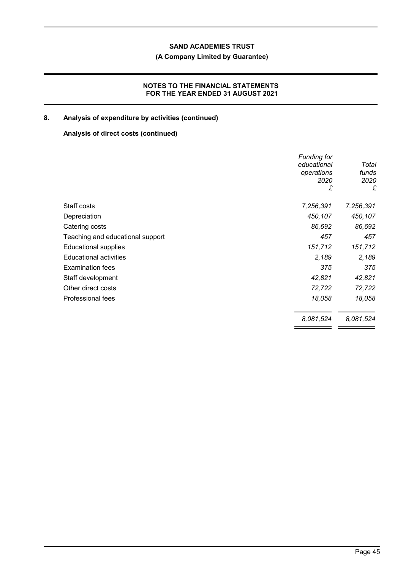## **(A Company Limited by Guarantee)**

## **NOTES TO THE FINANCIAL STATEMENTS FOR THE YEAR ENDED 31 AUGUST 2021**

# **8. Analysis of expenditure by activities (continued)**

## **Analysis of direct costs (continued)**

|                                  | <b>Funding for</b><br>educational<br>operations<br>2020<br>£ | Total<br>funds<br>2020<br>£ |
|----------------------------------|--------------------------------------------------------------|-----------------------------|
| Staff costs                      | 7,256,391                                                    | 7,256,391                   |
| Depreciation                     | 450,107                                                      | 450,107                     |
| Catering costs                   | 86,692                                                       | 86,692                      |
| Teaching and educational support | 457                                                          | 457                         |
| <b>Educational supplies</b>      | 151,712                                                      | 151,712                     |
| <b>Educational activities</b>    | 2,189                                                        | 2,189                       |
| <b>Examination fees</b>          | 375                                                          | 375                         |
| Staff development                | 42,821                                                       | 42,821                      |
| Other direct costs               | 72,722                                                       | 72,722                      |
| Professional fees                | 18,058                                                       | 18,058                      |
|                                  | 8,081,524                                                    | 8,081,524                   |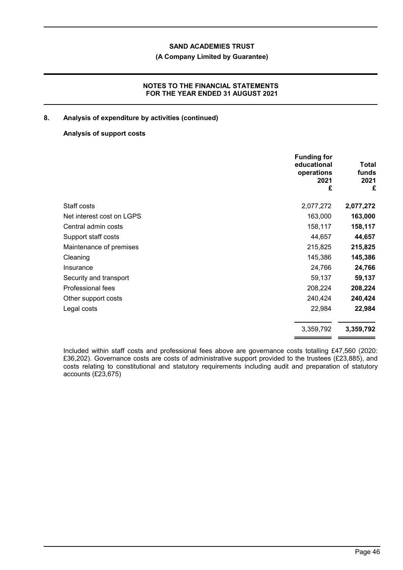## **(A Company Limited by Guarantee)**

## **NOTES TO THE FINANCIAL STATEMENTS FOR THE YEAR ENDED 31 AUGUST 2021**

## **8. Analysis of expenditure by activities (continued)**

## **Analysis of support costs**

|                           | <b>Funding for</b><br>educational<br>operations<br>2021<br>£ | Total<br>funds<br>2021<br>£ |
|---------------------------|--------------------------------------------------------------|-----------------------------|
| Staff costs               | 2,077,272                                                    | 2,077,272                   |
| Net interest cost on LGPS | 163,000                                                      | 163,000                     |
| Central admin costs       | 158,117                                                      | 158,117                     |
| Support staff costs       | 44,657                                                       | 44,657                      |
| Maintenance of premises   | 215,825                                                      | 215,825                     |
| Cleaning                  | 145,386                                                      | 145,386                     |
| Insurance                 | 24,766                                                       | 24,766                      |
| Security and transport    | 59,137                                                       | 59,137                      |
| Professional fees         | 208,224                                                      | 208,224                     |
| Other support costs       | 240,424                                                      | 240,424                     |
| Legal costs               | 22,984                                                       | 22,984                      |
|                           | 3,359,792                                                    | 3,359,792                   |

Included within staff costs and professional fees above are governance costs totalling £47,560 (2020: £36,202). Governance costs are costs of administrative support provided to the trustees (£23,885), and costs relating to constitutional and statutory requirements including audit and preparation of statutory accounts (£23,675)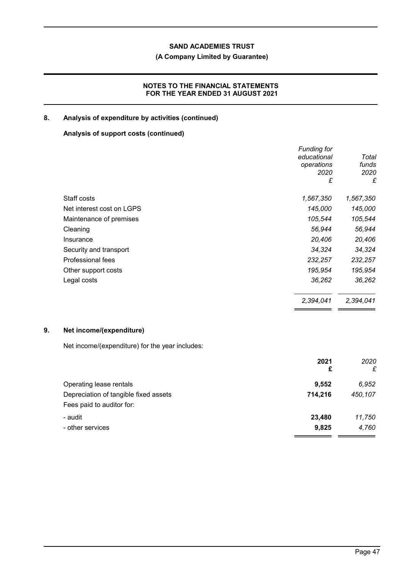## **(A Company Limited by Guarantee)**

## **NOTES TO THE FINANCIAL STATEMENTS FOR THE YEAR ENDED 31 AUGUST 2021**

## **8. Analysis of expenditure by activities (continued)**

## **Analysis of support costs (continued)**

|                           | <b>Funding for</b> |           |
|---------------------------|--------------------|-----------|
|                           | educational        | Total     |
|                           | operations         | funds     |
|                           | 2020               | 2020      |
|                           | £                  | £         |
| Staff costs               | 1,567,350          | 1,567,350 |
| Net interest cost on LGPS | 145,000            | 145,000   |
| Maintenance of premises   | 105,544            | 105,544   |
| Cleaning                  | 56,944             | 56,944    |
| Insurance                 | 20,406             | 20,406    |
| Security and transport    | 34,324             | 34,324    |
| Professional fees         | 232,257            | 232,257   |
| Other support costs       | 195,954            | 195,954   |
| Legal costs               | 36,262             | 36,262    |
|                           | 2,394,041          | 2,394,041 |
|                           |                    |           |

# **9. Net income/(expenditure)**

Net income/(expenditure) for the year includes:

|                                       | 2021<br>£ | 2020<br>£ |
|---------------------------------------|-----------|-----------|
| Operating lease rentals               | 9,552     | 6,952     |
| Depreciation of tangible fixed assets | 714,216   | 450,107   |
| Fees paid to auditor for:             |           |           |
| - audit                               | 23,480    | 11,750    |
| - other services                      | 9,825     | 4,760     |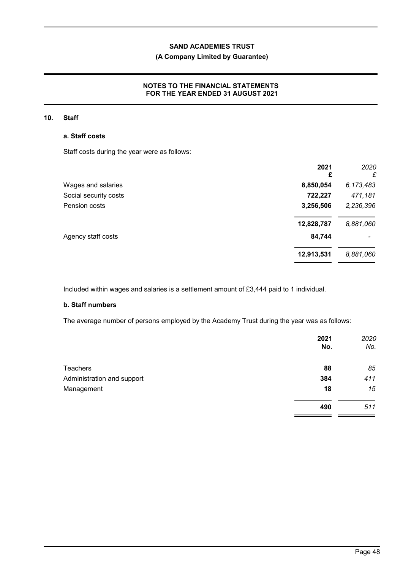## **(A Company Limited by Guarantee)**

## **NOTES TO THE FINANCIAL STATEMENTS FOR THE YEAR ENDED 31 AUGUST 2021**

#### **10. Staff**

### **a. Staff costs**

Staff costs during the year were as follows:

|                       | 2021<br>£  | 2020<br>£ |
|-----------------------|------------|-----------|
| Wages and salaries    | 8,850,054  | 6,173,483 |
| Social security costs | 722,227    | 471,181   |
| Pension costs         | 3,256,506  | 2,236,396 |
|                       | 12,828,787 | 8,881,060 |
| Agency staff costs    | 84,744     |           |
|                       | 12,913,531 | 8,881,060 |
|                       |            |           |

Included within wages and salaries is a settlement amount of £3,444 paid to 1 individual.

## **b. Staff numbers**

The average number of persons employed by the Academy Trust during the year was as follows:

|                            | 2021<br>No. | 2020<br>No. |
|----------------------------|-------------|-------------|
| <b>Teachers</b>            | 88          | 85          |
| Administration and support | 384         | 411         |
| Management                 | 18          | 15          |
|                            | 490         | 511         |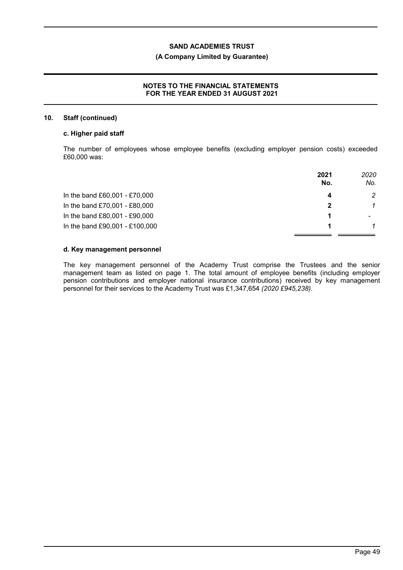## **(A Company Limited by Guarantee)**

## **NOTES TO THE FINANCIAL STATEMENTS FOR THE YEAR ENDED 31 AUGUST 2021**

#### **10. Staff (continued)**

### **c. Higher paid staff**

The number of employees whose employee benefits (excluding employer pension costs) exceeded £60,000 was:

|                                | 2021<br>No. | 2020<br>No. |
|--------------------------------|-------------|-------------|
| In the band £60,001 - £70,000  |             | 2           |
| In the band £70,001 - £80,000  | 2           |             |
| In the band £80,001 - £90,000  |             |             |
| In the band £90,001 - £100,000 |             |             |

#### **d. Key management personnel**

The key management personnel of the Academy Trust comprise the Trustees and the senior management team as listed on page 1. The total amount of employee benefits (including employer pension contributions and employer national insurance contributions) received by key management personnel for their services to the Academy Trust was £1,347,654 *(2020 £945,238)*.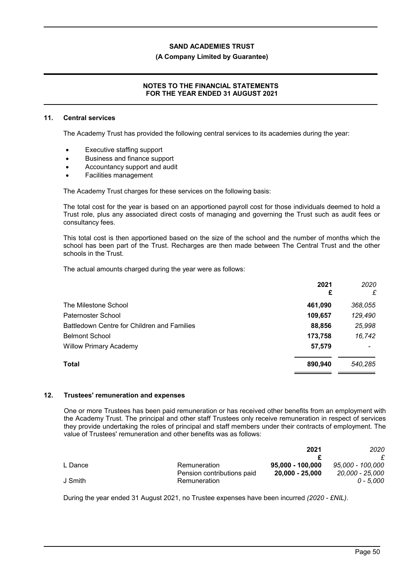#### **(A Company Limited by Guarantee)**

## **NOTES TO THE FINANCIAL STATEMENTS FOR THE YEAR ENDED 31 AUGUST 2021**

#### **11. Central services**

The Academy Trust has provided the following central services to its academies during the year:

- Executive staffing support
- Business and finance support
- Accountancy support and audit
- Facilities management

The Academy Trust charges for these services on the following basis:

The total cost for the year is based on an apportioned payroll cost for those individuals deemed to hold a Trust role, plus any associated direct costs of managing and governing the Trust such as audit fees or consultancy fees.

This total cost is then apportioned based on the size of the school and the number of months which the school has been part of the Trust. Recharges are then made between The Central Trust and the other schools in the Trust.

The actual amounts charged during the year were as follows:

|                                             | 2021<br>£ | 2020<br>£ |
|---------------------------------------------|-----------|-----------|
| The Milestone School                        | 461,090   | 368,055   |
| Paternoster School                          | 109,657   | 129,490   |
| Battledown Centre for Children and Families | 88,856    | 25,998    |
| <b>Belmont School</b>                       | 173,758   | 16,742    |
| <b>Willow Primary Academy</b>               | 57,579    |           |
| Total                                       | 890,940   | 540,285   |
|                                             |           |           |

#### **12. Trustees' remuneration and expenses**

One or more Trustees has been paid remuneration or has received other benefits from an employment with the Academy Trust. The principal and other staff Trustees only receive remuneration in respect of services they provide undertaking the roles of principal and staff members under their contracts of employment. The value of Trustees' remuneration and other benefits was as follows:

|         |                            | 2021             | 2020             |
|---------|----------------------------|------------------|------------------|
|         |                            |                  |                  |
| L Dance | Remuneration               | 95.000 - 100.000 | 95,000 - 100,000 |
|         | Pension contributions paid | 20.000 - 25.000  | 20,000 - 25,000  |
| J Smith | Remuneration               |                  | 0 - 5.000        |

During the year ended 31 August 2021, no Trustee expenses have been incurred *(2020 - £NIL)*.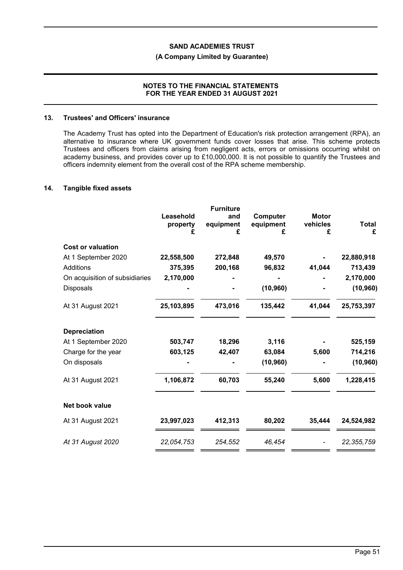## **(A Company Limited by Guarantee)**

### **NOTES TO THE FINANCIAL STATEMENTS FOR THE YEAR ENDED 31 AUGUST 2021**

#### **13. Trustees' and Officers' insurance**

The Academy Trust has opted into the Department of Education's risk protection arrangement (RPA), an alternative to insurance where UK government funds cover losses that arise. This scheme protects Trustees and officers from claims arising from negligent acts, errors or omissions occurring whilst on academy business, and provides cover up to £10,000,000. It is not possible to quantify the Trustees and officers indemnity element from the overall cost of the RPA scheme membership.

#### **14. Tangible fixed assets**

|                                | Leasehold<br>property<br>£ | <b>Furniture</b><br>and<br>equipment<br>£ | Computer<br>equipment<br>£ | <b>Motor</b><br>vehicles<br>£ | <b>Total</b><br>£ |
|--------------------------------|----------------------------|-------------------------------------------|----------------------------|-------------------------------|-------------------|
| <b>Cost or valuation</b>       |                            |                                           |                            |                               |                   |
| At 1 September 2020            | 22,558,500                 | 272,848                                   | 49,570                     |                               | 22,880,918        |
| Additions                      | 375,395                    | 200,168                                   | 96,832                     | 41,044                        | 713,439           |
| On acquisition of subsidiaries | 2,170,000                  |                                           |                            |                               | 2,170,000         |
| Disposals                      |                            |                                           | (10, 960)                  |                               | (10, 960)         |
| At 31 August 2021              | 25,103,895                 | 473,016                                   | 135,442                    | 41,044                        | 25,753,397        |
| <b>Depreciation</b>            |                            |                                           |                            |                               |                   |
| At 1 September 2020            | 503,747                    | 18,296                                    | 3,116                      |                               | 525,159           |
| Charge for the year            | 603,125                    | 42,407                                    | 63,084                     | 5,600                         | 714,216           |
| On disposals                   |                            |                                           | (10, 960)                  |                               | (10, 960)         |
| At 31 August 2021              | 1,106,872                  | 60,703                                    | 55,240                     | 5,600                         | 1,228,415         |
| Net book value                 |                            |                                           |                            |                               |                   |
| At 31 August 2021              | 23,997,023                 | 412,313                                   | 80,202                     | 35,444                        | 24,524,982        |
| At 31 August 2020              | 22,054,753                 | 254,552                                   | 46,454                     |                               | 22, 355, 759      |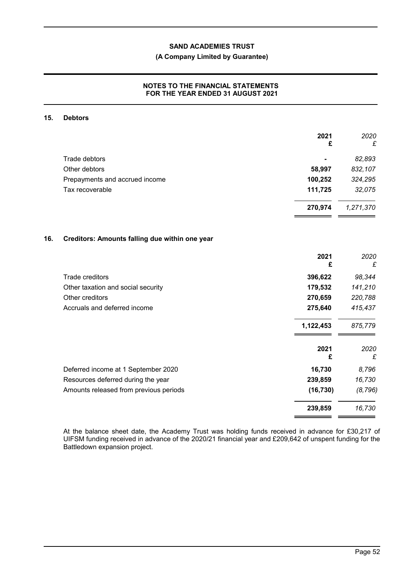## **(A Company Limited by Guarantee)**

## **NOTES TO THE FINANCIAL STATEMENTS FOR THE YEAR ENDED 31 AUGUST 2021**

#### **15. Debtors**

|                                                | 2021<br>£ | 2020<br>£ |
|------------------------------------------------|-----------|-----------|
| Trade debtors                                  |           | 82,893    |
| Other debtors                                  | 58,997    | 832,107   |
| Prepayments and accrued income                 | 100,252   | 324,295   |
| Tax recoverable                                | 111,725   | 32,075    |
|                                                | 270,974   | 1,271,370 |
| Creditors: Amounts falling due within one year |           |           |
|                                                | 2021<br>£ | 2020<br>£ |
| Trade creditors                                | 396,622   | 98,344    |
| Other taxation and social security             | 179,532   | 141,210   |
| Other creditors                                | 270,659   | 220,788   |
| Accruals and deferred income                   | 275,640   | 415,437   |
| 1,122,453                                      |           | 875,779   |
|                                                | 2021<br>£ | 2020<br>£ |
| Deferred income at 1 September 2020            | 16,730    | 8,796     |
| Resources deferred during the year             | 239,859   | 16,730    |
| Amounts released from previous periods         | (16, 730) | (8, 796)  |
|                                                | 239,859   | 16,730    |

At the balance sheet date, the Academy Trust was holding funds received in advance for £30,217 of UIFSM funding received in advance of the 2020/21 financial year and £209,642 of unspent funding for the Battledown expansion project.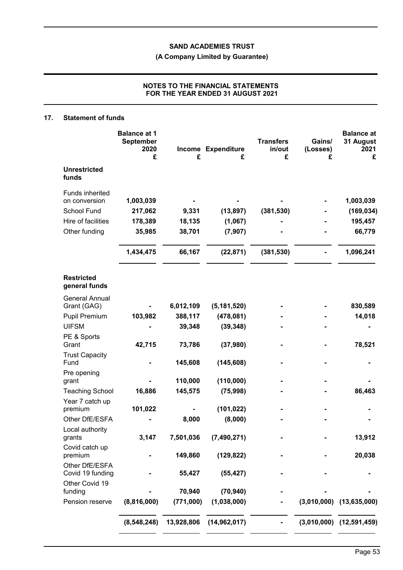**(A Company Limited by Guarantee)**

## **NOTES TO THE FINANCIAL STATEMENTS FOR THE YEAR ENDED 31 AUGUST 2021**

### **17. Statement of funds**

|                                                                                        | <b>Balance at 1</b><br><b>September</b><br>2020<br>£ | £                         | Income Expenditure<br>£          | <b>Transfers</b><br>in/out<br>£ | Gains/<br>(Losses)<br>£ | <b>Balance at</b><br>31 August<br>2021<br>£  |
|----------------------------------------------------------------------------------------|------------------------------------------------------|---------------------------|----------------------------------|---------------------------------|-------------------------|----------------------------------------------|
| <b>Unrestricted</b><br>funds                                                           |                                                      |                           |                                  |                                 |                         |                                              |
| Funds inherited<br>on conversion<br>School Fund<br>Hire of facilities<br>Other funding | 1,003,039<br>217,062<br>178,389<br>35,985            | 9,331<br>18,135<br>38,701 | (13, 897)<br>(1,067)<br>(7, 907) | (381, 530)                      |                         | 1,003,039<br>(169, 034)<br>195,457<br>66,779 |
|                                                                                        | 1,434,475                                            | 66,167                    | (22, 871)                        | (381, 530)                      |                         | 1,096,241                                    |
| <b>Restricted</b><br>general funds                                                     |                                                      |                           |                                  |                                 |                         |                                              |
| <b>General Annual</b><br>Grant (GAG)                                                   |                                                      | 6,012,109                 | (5, 181, 520)                    |                                 |                         | 830,589                                      |
| Pupil Premium                                                                          | 103,982                                              | 388,117                   | (478,081)                        |                                 |                         | 14,018                                       |
| <b>UIFSM</b>                                                                           |                                                      | 39,348                    | (39, 348)                        |                                 |                         |                                              |
| PE & Sports<br>Grant                                                                   | 42,715                                               | 73,786                    | (37, 980)                        |                                 |                         | 78,521                                       |
| <b>Trust Capacity</b><br>Fund                                                          |                                                      | 145,608                   | (145, 608)                       |                                 |                         |                                              |
| Pre opening                                                                            |                                                      |                           |                                  |                                 |                         |                                              |
| grant                                                                                  | 16,886                                               | 110,000<br>145,575        | (110,000)                        |                                 |                         | 86,463                                       |
| <b>Teaching School</b><br>Year 7 catch up                                              |                                                      |                           | (75, 998)                        |                                 |                         |                                              |
| premium                                                                                | 101,022                                              |                           | (101, 022)                       |                                 |                         |                                              |
| Other DfE/ESFA                                                                         |                                                      | 8,000                     | (8,000)                          |                                 |                         |                                              |
| Local authority<br>grants                                                              | 3,147                                                | 7,501,036                 | (7,490,271)                      |                                 |                         | 13,912                                       |
| Covid catch up<br>premium                                                              |                                                      | 149,860                   | (129, 822)                       |                                 |                         | 20,038                                       |
| Other DfE/ESFA<br>Covid 19 funding                                                     |                                                      | 55,427                    | (55, 427)                        |                                 |                         |                                              |
| Other Covid 19                                                                         |                                                      | 70,940                    |                                  |                                 |                         |                                              |
| funding<br>Pension reserve                                                             | (8,816,000)                                          | (771,000)                 | (70, 940)<br>(1,038,000)         |                                 |                         | $(3,010,000)$ $(13,635,000)$                 |
|                                                                                        | (8, 548, 248)                                        | 13,928,806                | (14, 962, 017)                   |                                 |                         | $(3,010,000)$ $(12,591,459)$                 |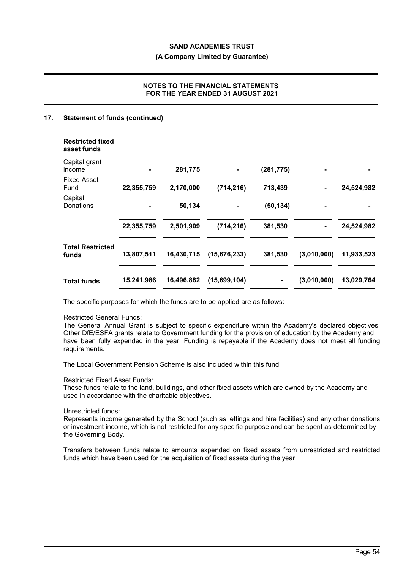#### **(A Company Limited by Guarantee)**

## **NOTES TO THE FINANCIAL STATEMENTS FOR THE YEAR ENDED 31 AUGUST 2021**

### **17. Statement of funds (continued)**

| <b>Restricted fixed</b><br>asset funds |            |            |                |            |             |            |
|----------------------------------------|------------|------------|----------------|------------|-------------|------------|
| Capital grant<br>income                |            | 281,775    |                | (281, 775) |             |            |
| <b>Fixed Asset</b><br>Fund             | 22,355,759 | 2,170,000  | (714, 216)     | 713,439    |             | 24,524,982 |
| Capital<br>Donations                   |            | 50,134     |                | (50, 134)  |             |            |
|                                        | 22,355,759 | 2,501,909  | (714, 216)     | 381,530    |             | 24,524,982 |
| <b>Total Restricted</b><br>funds       | 13,807,511 | 16,430,715 | (15, 676, 233) | 381,530    | (3,010,000) | 11,933,523 |
| <b>Total funds</b>                     | 15,241,986 | 16,496,882 | (15,699,104)   | ۰          | (3,010,000) | 13,029,764 |

The specific purposes for which the funds are to be applied are as follows:

#### Restricted General Funds:

The General Annual Grant is subject to specific expenditure within the Academy's declared objectives. Other DfE/ESFA grants relate to Government funding for the provision of education by the Academy and have been fully expended in the year. Funding is repayable if the Academy does not meet all funding requirements.

The Local Government Pension Scheme is also included within this fund.

#### Restricted Fixed Asset Funds:

These funds relate to the land, buildings, and other fixed assets which are owned by the Academy and used in accordance with the charitable objectives.

#### Unrestricted funds:

Represents income generated by the School (such as lettings and hire facilities) and any other donations or investment income, which is not restricted for any specific purpose and can be spent as determined by the Governing Body.

Transfers between funds relate to amounts expended on fixed assets from unrestricted and restricted funds which have been used for the acquisition of fixed assets during the year.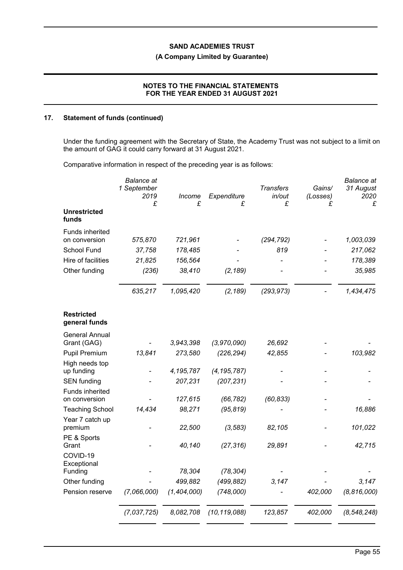## **(A Company Limited by Guarantee)**

## **NOTES TO THE FINANCIAL STATEMENTS FOR THE YEAR ENDED 31 AUGUST 2021**

### **17. Statement of funds (continued)**

Under the funding agreement with the Secretary of State, the Academy Trust was not subject to a limit on the amount of GAG it could carry forward at 31 August 2021.

Comparative information in respect of the preceding year is as follows:

|                                         | <b>Balance</b> at<br>1 September<br>2019<br>£ | Income<br>£ | Expenditure<br>£ | <b>Transfers</b><br>in/out<br>£ | Gains/<br>(Losses)<br>£ | <b>Balance</b> at<br>31 August<br>2020<br>£ |
|-----------------------------------------|-----------------------------------------------|-------------|------------------|---------------------------------|-------------------------|---------------------------------------------|
| <b>Unrestricted</b><br>funds            |                                               |             |                  |                                 |                         |                                             |
| <b>Funds inherited</b><br>on conversion | 575,870                                       | 721,961     |                  | (294, 792)                      |                         | 1,003,039                                   |
| School Fund                             | 37,758                                        | 178,485     |                  | 819                             |                         | 217,062                                     |
| Hire of facilities                      | 21,825                                        | 156,564     |                  |                                 |                         | 178,389                                     |
| Other funding                           | (236)                                         | 38,410      | (2, 189)         |                                 |                         | 35,985                                      |
|                                         | 635,217                                       | 1,095,420   | (2, 189)         | (293, 973)                      |                         | 1,434,475                                   |
| Restricted<br>general funds             |                                               |             |                  |                                 |                         |                                             |
| <b>General Annual</b>                   |                                               |             |                  |                                 |                         |                                             |
| Grant (GAG)                             |                                               | 3,943,398   | (3,970,090)      | 26,692                          |                         |                                             |
| <b>Pupil Premium</b>                    | 13,841                                        | 273,580     | (226, 294)       | 42,855                          |                         | 103,982                                     |
| High needs top<br>up funding            |                                               | 4,195,787   | (4, 195, 787)    |                                 |                         |                                             |
| <b>SEN</b> funding                      |                                               | 207,231     | (207, 231)       |                                 |                         |                                             |
| Funds inherited                         |                                               |             |                  |                                 |                         |                                             |
| on conversion                           |                                               | 127,615     | (66, 782)        | (60, 833)                       |                         |                                             |
| <b>Teaching School</b>                  | 14,434                                        | 98,271      | (95, 819)        |                                 |                         | 16,886                                      |
| Year 7 catch up<br>premium              |                                               | 22,500      | (3, 583)         | 82,105                          |                         | 101,022                                     |
| PE & Sports<br>Grant                    |                                               | 40,140      | (27, 316)        | 29,891                          |                         | 42,715                                      |
| COVID-19<br>Exceptional                 |                                               |             |                  |                                 |                         |                                             |
| Funding                                 |                                               | 78,304      | (78, 304)        |                                 |                         |                                             |
| Other funding                           |                                               | 499,882     | (499, 882)       | 3,147                           |                         | 3,147                                       |
| Pension reserve                         | (7,066,000)                                   | (1,404,000) | (748,000)        |                                 | 402,000                 | (8, 816, 000)                               |
|                                         | (7,037,725)                                   | 8,082,708   | (10, 119, 088)   | 123,857                         | 402,000                 | (8, 548, 248)                               |
|                                         |                                               |             |                  |                                 |                         |                                             |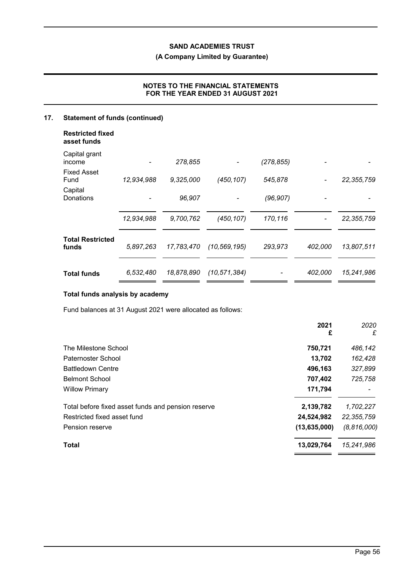## **(A Company Limited by Guarantee)**

## **NOTES TO THE FINANCIAL STATEMENTS FOR THE YEAR ENDED 31 AUGUST 2021**

# **17. Statement of funds (continued)**

| <b>Restricted fixed</b><br>asset funds |            |            |                |            |         |              |
|----------------------------------------|------------|------------|----------------|------------|---------|--------------|
| Capital grant<br>income                |            | 278,855    |                | (278, 855) |         |              |
| <b>Fixed Asset</b><br>Fund             | 12,934,988 | 9,325,000  | (450, 107)     | 545,878    |         | 22, 355, 759 |
| Capital<br>Donations                   |            | 96,907     |                | (96, 907)  |         |              |
|                                        | 12,934,988 | 9,700,762  | (450, 107)     | 170,116    |         | 22, 355, 759 |
| <b>Total Restricted</b><br>funds       | 5,897,263  | 17,783,470 | (10, 569, 195) | 293,973    | 402,000 | 13,807,511   |
| <b>Total funds</b>                     | 6,532,480  | 18,878,890 | (10, 571, 384) |            | 402,000 | 15,241,986   |

## **Total funds analysis by academy**

Fund balances at 31 August 2021 were allocated as follows:

|                | £             |
|----------------|---------------|
| 750,721        | 486,142       |
| 13,702         | 162,428       |
| 496,163        | 327,899       |
| 707,402        | 725,758       |
| 171,794        |               |
| 2,139,782      | 1,702,227     |
| 24,524,982     | 22, 355, 759  |
| (13, 635, 000) | (8, 816, 000) |
| 13,029,764     | 15,241,986    |
|                | £             |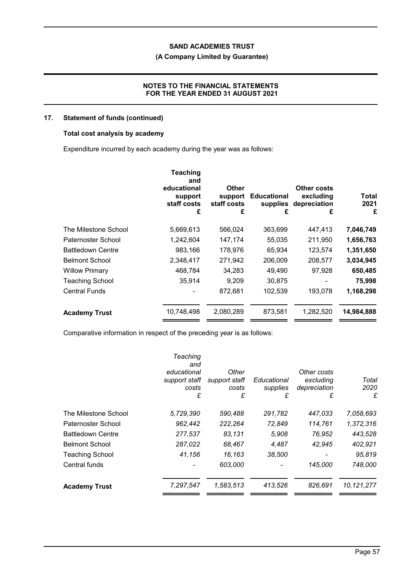## **(A Company Limited by Guarantee)**

## **NOTES TO THE FINANCIAL STATEMENTS FOR THE YEAR ENDED 31 AUGUST 2021**

## **17. Statement of funds (continued)**

## **Total cost analysis by academy**

Expenditure incurred by each academy during the year was as follows:

|                          | <b>Teaching</b><br>and<br>educational<br>support<br>staff costs<br>£ | Other<br>support<br>staff costs<br>£ | <b>Educational</b><br>supplies<br>£ | Other costs<br>excluding<br>depreciation<br>£ | Total<br>2021<br>£ |
|--------------------------|----------------------------------------------------------------------|--------------------------------------|-------------------------------------|-----------------------------------------------|--------------------|
| The Milestone School     | 5,669,613                                                            | 566,024                              | 363,699                             | 447,413                                       | 7,046,749          |
| Paternoster School       | 1,242,604                                                            | 147,174                              | 55,035                              | 211,950                                       | 1,656,763          |
| <b>Battledown Centre</b> | 983,166                                                              | 178,976                              | 65,934                              | 123,574                                       | 1,351,650          |
| <b>Belmont School</b>    | 2,348,417                                                            | 271,942                              | 206,009                             | 208,577                                       | 3,034,945          |
| <b>Willow Primary</b>    | 468,784                                                              | 34,283                               | 49,490                              | 97,928                                        | 650,485            |
| <b>Teaching School</b>   | 35,914                                                               | 9,209                                | 30,875                              |                                               | 75,998             |
| <b>Central Funds</b>     |                                                                      | 872,681                              | 102,539                             | 193,078                                       | 1,168,298          |
| <b>Academy Trust</b>     | 10,748,498                                                           | 2,080,289                            | 873,581                             | 1,282,520                                     | 14,984,888         |

Comparative information in respect of the preceding year is as follows:

|                          | Teaching<br>and<br>educational<br>support staff<br>costs<br>£ | Other<br>support staff<br>costs<br>£ | Educational<br>supplies<br>£ | Other costs<br>excluding<br>depreciation<br>£ | Total<br>2020<br>£ |
|--------------------------|---------------------------------------------------------------|--------------------------------------|------------------------------|-----------------------------------------------|--------------------|
| The Milestone School     | 5,729,390                                                     | 590,488                              | 291,782                      | 447,033                                       | 7,058,693          |
| Paternoster School       | 962,442                                                       | 222,264                              | 72,849                       | 114,761                                       | 1,372,316          |
| <b>Battledown Centre</b> | 277,537                                                       | 83,131                               | 5,908                        | 76,952                                        | 443,528            |
| <b>Belmont School</b>    | 287,022                                                       | 68,467                               | 4,487                        | 42,945                                        | 402,921            |
| <b>Teaching School</b>   | 41,156                                                        | 16,163                               | 38,500                       |                                               | 95,819             |
| Central funds            |                                                               | 603,000                              |                              | 145,000                                       | 748,000            |
| <b>Academy Trust</b>     | 7,297,547                                                     | 1,583,513                            | 413,526                      | 826,691                                       | 10,121,277         |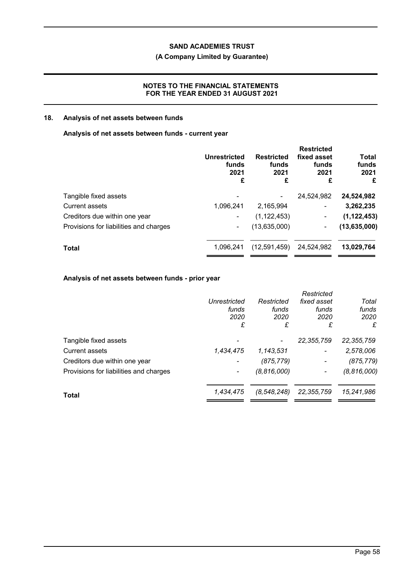## **(A Company Limited by Guarantee)**

## **NOTES TO THE FINANCIAL STATEMENTS FOR THE YEAR ENDED 31 AUGUST 2021**

## **18. Analysis of net assets between funds**

### **Analysis of net assets between funds - current year**

| <b>Unrestricted</b><br>funds<br>2021<br>£ | <b>Restricted</b><br>funds<br>2021<br>£ | <b>Restricted</b><br>fixed asset<br>funds<br>2021<br>£ | Total<br>funds<br>2021<br>£ |
|-------------------------------------------|-----------------------------------------|--------------------------------------------------------|-----------------------------|
|                                           |                                         | 24.524.982                                             | 24,524,982                  |
| 1,096,241                                 | 2,165,994                               | $\blacksquare$                                         | 3,262,235                   |
|                                           | (1, 122, 453)                           | ٠                                                      | (1, 122, 453)               |
| ۰.                                        | (13,635,000)                            | $\overline{\phantom{a}}$                               | (13, 635, 000)              |
| 1.096.241                                 | (12,591,459)                            | 24,524,982                                             | 13,029,764                  |
|                                           |                                         |                                                        |                             |

## **Analysis of net assets between funds - prior year**

|                                        |              |               | Restricted     |               |
|----------------------------------------|--------------|---------------|----------------|---------------|
|                                        | Unrestricted | Restricted    | fixed asset    | Total         |
|                                        | funds        | funds         | funds          | funds         |
|                                        | 2020         | 2020          | 2020           | 2020          |
|                                        | £            | £             | £              | £             |
| Tangible fixed assets                  |              |               | 22, 355, 759   | 22, 355, 759  |
| <b>Current assets</b>                  | 1,434,475    | 1,143,531     | $\blacksquare$ | 2,578,006     |
| Creditors due within one year          |              | (875, 779)    |                | (875, 779)    |
| Provisions for liabilities and charges |              | (8, 816, 000) |                | (8, 816, 000) |
| Total                                  | 1,434,475    | (8, 548, 248) | 22,355,759     | 15,241,986    |
|                                        |              |               |                |               |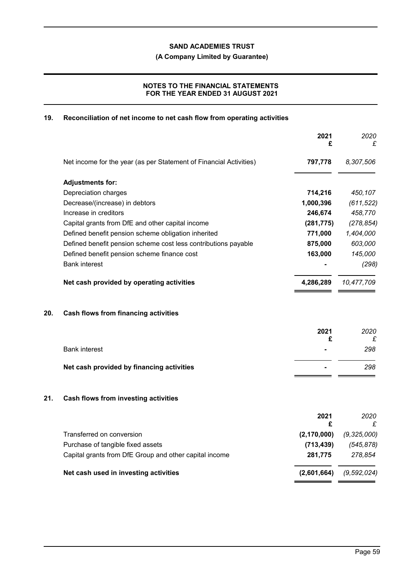**(A Company Limited by Guarantee)**

## **NOTES TO THE FINANCIAL STATEMENTS FOR THE YEAR ENDED 31 AUGUST 2021**

## **19. Reconciliation of net income to net cash flow from operating activities**

|     |                                                                    | 2021<br>£     | 2020<br>£     |
|-----|--------------------------------------------------------------------|---------------|---------------|
|     | Net income for the year (as per Statement of Financial Activities) | 797,778       | 8,307,506     |
|     | <b>Adjustments for:</b>                                            |               |               |
|     | Depreciation charges                                               | 714,216       | 450,107       |
|     | Decrease/(increase) in debtors                                     | 1,000,396     | (611, 522)    |
|     | Increase in creditors                                              | 246,674       | 458,770       |
|     | Capital grants from DfE and other capital income                   | (281, 775)    | (278, 854)    |
|     | Defined benefit pension scheme obligation inherited                | 771,000       | 1,404,000     |
|     | Defined benefit pension scheme cost less contributions payable     | 875,000       | 603,000       |
|     | Defined benefit pension scheme finance cost                        | 163,000       | 145,000       |
|     | <b>Bank interest</b>                                               |               | (298)         |
|     | Net cash provided by operating activities                          | 4,286,289     | 10,477,709    |
| 20. | Cash flows from financing activities                               |               |               |
|     |                                                                    | 2021<br>£     | 2020          |
|     | <b>Bank interest</b>                                               |               | £<br>298      |
|     |                                                                    |               |               |
|     | Net cash provided by financing activities                          |               | 298           |
| 21. | Cash flows from investing activities                               |               |               |
|     |                                                                    | 2021<br>£     | 2020<br>£     |
|     | Transferred on conversion                                          | (2, 170, 000) | (9, 325, 000) |
|     | Purchase of tangible fixed assets                                  | (713, 439)    | (545, 878)    |
|     | Capital grants from DfE Group and other capital income             | 281,775       | 278,854       |
|     | Net cash used in investing activities                              | (2,601,664)   | (9, 592, 024) |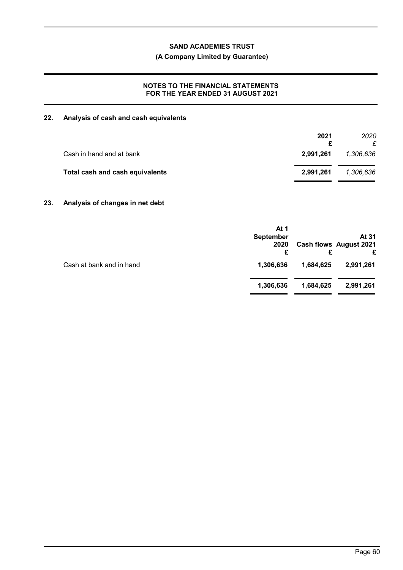## **(A Company Limited by Guarantee)**

## **NOTES TO THE FINANCIAL STATEMENTS FOR THE YEAR ENDED 31 AUGUST 2021**

## **22. Analysis of cash and cash equivalents**

| 2.991.261 | 1,306,636 |
|-----------|-----------|
| 2.991.261 | 1,306,636 |
|           |           |

## **23. Analysis of changes in net debt**

|                          | At 1<br><b>September</b><br>2020<br>£ |           | At 31<br><b>Cash flows August 2021</b> |
|--------------------------|---------------------------------------|-----------|----------------------------------------|
| Cash at bank and in hand | 1,306,636                             | 1,684,625 | 2,991,261                              |
|                          | 1,306,636                             | 1,684,625 | 2,991,261                              |
|                          |                                       |           |                                        |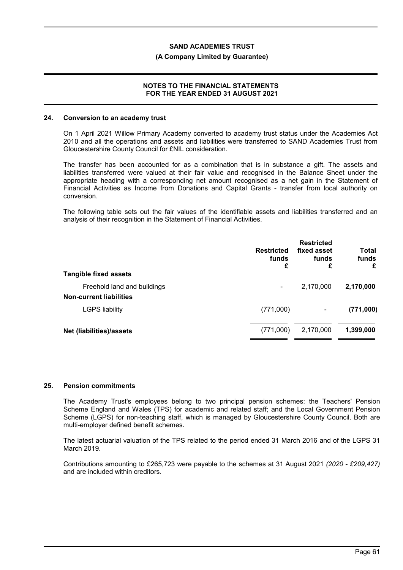#### **(A Company Limited by Guarantee)**

#### **NOTES TO THE FINANCIAL STATEMENTS FOR THE YEAR ENDED 31 AUGUST 2021**

#### **24. Conversion to an academy trust**

On 1 April 2021 Willow Primary Academy converted to academy trust status under the Academies Act 2010 and all the operations and assets and liabilities were transferred to SAND Academies Trust from Gloucestershire County Council for £NIL consideration.

The transfer has been accounted for as a combination that is in substance a gift. The assets and liabilities transferred were valued at their fair value and recognised in the Balance Sheet under the appropriate heading with a corresponding net amount recognised as a net gain in the Statement of Financial Activities as Income from Donations and Capital Grants - transfer from local authority on conversion.

The following table sets out the fair values of the identifiable assets and liabilities transferred and an analysis of their recognition in the Statement of Financial Activities.

| <b>Tangible fixed assets</b>                                  | <b>Restricted</b><br>funds<br>£ | <b>Restricted</b><br>fixed asset<br>funds<br>£ | <b>Total</b><br>funds<br>£ |
|---------------------------------------------------------------|---------------------------------|------------------------------------------------|----------------------------|
| Freehold land and buildings<br><b>Non-current liabilities</b> |                                 | 2,170,000                                      | 2,170,000                  |
| <b>LGPS liability</b>                                         | (771,000)                       | ۰                                              | (771,000)                  |
| Net (liabilities)/assets                                      | (771,000)                       | 2,170,000                                      | 1,399,000                  |

#### **25. Pension commitments**

The Academy Trust's employees belong to two principal pension schemes: the Teachers' Pension Scheme England and Wales (TPS) for academic and related staff; and the Local Government Pension Scheme (LGPS) for non-teaching staff, which is managed by Gloucestershire County Council. Both are multi-employer defined benefit schemes.

The latest actuarial valuation of the TPS related to the period ended 31 March 2016 and of the LGPS 31 March 2019.

Contributions amounting to £265,723 were payable to the schemes at 31 August 2021 *(2020 - £209,427)* and are included within creditors.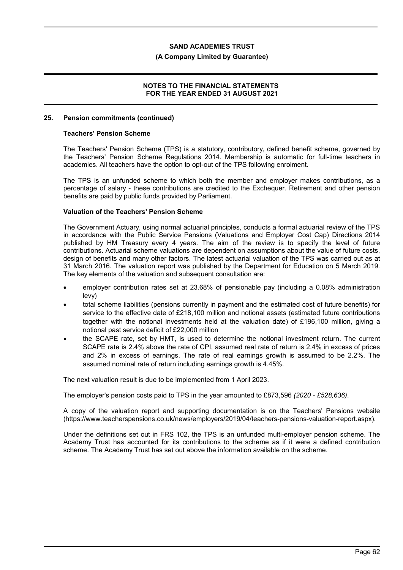#### **(A Company Limited by Guarantee)**

### **NOTES TO THE FINANCIAL STATEMENTS FOR THE YEAR ENDED 31 AUGUST 2021**

#### **25. Pension commitments (continued)**

#### **Teachers' Pension Scheme**

The Teachers' Pension Scheme (TPS) is a statutory, contributory, defined benefit scheme, governed by the Teachers' Pension Scheme Regulations 2014. Membership is automatic for full-time teachers in academies. All teachers have the option to opt-out of the TPS following enrolment.

The TPS is an unfunded scheme to which both the member and employer makes contributions, as a percentage of salary - these contributions are credited to the Exchequer. Retirement and other pension benefits are paid by public funds provided by Parliament.

## **Valuation of the Teachers' Pension Scheme**

The Government Actuary, using normal actuarial principles, conducts a formal actuarial review of the TPS in accordance with the Public Service Pensions (Valuations and Employer Cost Cap) Directions 2014 published by HM Treasury every 4 years. The aim of the review is to specify the level of future contributions. Actuarial scheme valuations are dependent on assumptions about the value of future costs, design of benefits and many other factors. The latest actuarial valuation of the TPS was carried out as at 31 March 2016. The valuation report was published by the Department for Education on 5 March 2019. The key elements of the valuation and subsequent consultation are:

- employer contribution rates set at 23.68% of pensionable pay (including a 0.08% administration levy)
- total scheme liabilities (pensions currently in payment and the estimated cost of future benefits) for service to the effective date of £218,100 million and notional assets (estimated future contributions together with the notional investments held at the valuation date) of £196,100 million, giving a notional past service deficit of £22,000 million
- the SCAPE rate, set by HMT, is used to determine the notional investment return. The current SCAPE rate is 2.4% above the rate of CPI, assumed real rate of return is 2.4% in excess of prices and 2% in excess of earnings. The rate of real earnings growth is assumed to be 2.2%. The assumed nominal rate of return including earnings growth is 4.45%.

The next valuation result is due to be implemented from 1 April 2023.

The employer's pension costs paid to TPS in the year amounted to £873,596 *(2020 - £528,636)*.

A copy of the valuation report and supporting documentation is on the Teachers' Pensions website (https://www.teacherspensions.co.uk/news/employers/2019/04/teachers-pensions-valuation-report.aspx).

Under the definitions set out in FRS 102, the TPS is an unfunded multi-employer pension scheme. The Academy Trust has accounted for its contributions to the scheme as if it were a defined contribution scheme. The Academy Trust has set out above the information available on the scheme.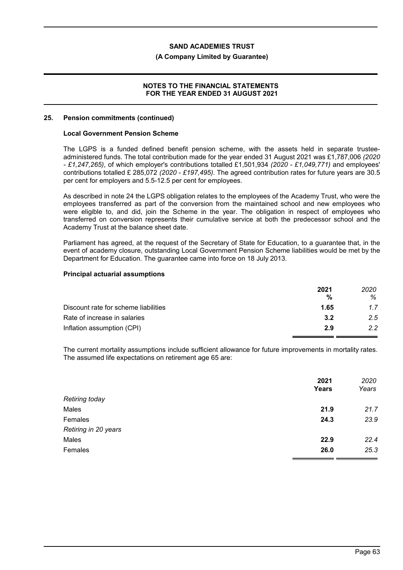#### **(A Company Limited by Guarantee)**

### **NOTES TO THE FINANCIAL STATEMENTS FOR THE YEAR ENDED 31 AUGUST 2021**

#### **25. Pension commitments (continued)**

#### **Local Government Pension Scheme**

The LGPS is a funded defined benefit pension scheme, with the assets held in separate trusteeadministered funds. The total contribution made for the year ended 31 August 2021 was £1,787,006 *(2020 - £1,247,265)*, of which employer's contributions totalled £1,501,934 *(2020 - £1,049,771)* and employees' contributions totalled £ 285,072 *(2020 - £197,495)*. The agreed contribution rates for future years are 30.5 per cent for employers and 5.5-12.5 per cent for employees.

As described in note 24 the LGPS obligation relates to the employees of the Academy Trust, who were the employees transferred as part of the conversion from the maintained school and new employees who were eligible to, and did, join the Scheme in the year. The obligation in respect of employees who transferred on conversion represents their cumulative service at both the predecessor school and the Academy Trust at the balance sheet date.

Parliament has agreed, at the request of the Secretary of State for Education, to a guarantee that, in the event of academy closure, outstanding Local Government Pension Scheme liabilities would be met by the Department for Education. The guarantee came into force on 18 July 2013.

#### **Principal actuarial assumptions**

|                                      | 2021 | 2020 |
|--------------------------------------|------|------|
|                                      | %    | ℅    |
| Discount rate for scheme liabilities | 1.65 | 1.7  |
| Rate of increase in salaries         | 3.2  | 2.5  |
| Inflation assumption (CPI)           | 2.9  | 2.2  |

The current mortality assumptions include sufficient allowance for future improvements in mortality rates. The assumed life expectations on retirement age 65 are:

|                       | 2021  | 2020  |
|-----------------------|-------|-------|
|                       | Years | Years |
| <b>Retiring today</b> |       |       |
| Males                 | 21.9  | 21.7  |
| Females               | 24.3  | 23.9  |
| Retiring in 20 years  |       |       |
| Males                 | 22.9  | 22.4  |
| Females               | 26.0  | 25.3  |
|                       |       |       |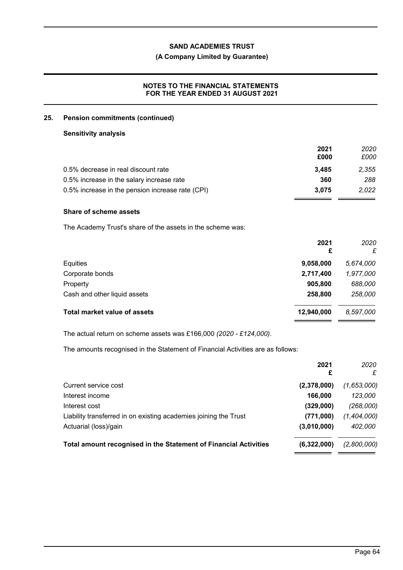## **(A Company Limited by Guarantee)**

## **NOTES TO THE FINANCIAL STATEMENTS FOR THE YEAR ENDED 31 AUGUST 2021**

#### **25. Pension commitments (continued)**

### **Sensitivity analysis**

|                                                  | 2021  | 2020  |
|--------------------------------------------------|-------|-------|
|                                                  | £000  | £000  |
| 0.5% decrease in real discount rate              | 3.485 | 2,355 |
| 0.5% increase in the salary increase rate        | 360   | 288   |
| 0.5% increase in the pension increase rate (CPI) | 3.075 | 2.022 |

## **Share of scheme assets**

The Academy Trust's share of the assets in the scheme was:

| 2021<br>£  | 2020<br>£ |
|------------|-----------|
| 9,058,000  | 5,674,000 |
| 2,717,400  | 1,977,000 |
| 905,800    | 688,000   |
| 258,800    | 258,000   |
| 12,940,000 | 8,597,000 |
|            |           |

The actual return on scheme assets was £166,000 *(2020 - £124,000)*.

The amounts recognised in the Statement of Financial Activities are as follows:

|                                                                  | 2021<br>£   | 2020<br>£   |
|------------------------------------------------------------------|-------------|-------------|
| Current service cost                                             | (2,378,000) | (1,653,000) |
| Interest income                                                  | 166,000     | 123,000     |
| Interest cost                                                    | (329,000)   | (268,000)   |
| Liability transferred in on existing academies joining the Trust | (771,000)   | (1,404,000) |
| Actuarial (loss)/gain                                            | (3,010,000) | 402,000     |
| Total amount recognised in the Statement of Financial Activities | (6,322,000) | (2,800,000) |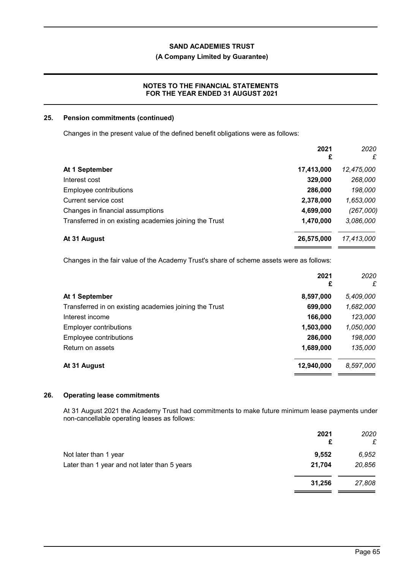## **(A Company Limited by Guarantee)**

## **NOTES TO THE FINANCIAL STATEMENTS FOR THE YEAR ENDED 31 AUGUST 2021**

### **25. Pension commitments (continued)**

Changes in the present value of the defined benefit obligations were as follows:

|                                                        | 2021<br>£  | 2020<br>£  |
|--------------------------------------------------------|------------|------------|
| At 1 September                                         | 17,413,000 | 12,475,000 |
| Interest cost                                          | 329,000    | 268,000    |
| Employee contributions                                 | 286,000    | 198,000    |
| Current service cost                                   | 2,378,000  | 1,653,000  |
| Changes in financial assumptions                       | 4,699,000  | (267,000)  |
| Transferred in on existing academies joining the Trust | 1,470,000  | 3,086,000  |
| At 31 August                                           | 26,575,000 | 17,413,000 |

Changes in the fair value of the Academy Trust's share of scheme assets were as follows:

|                                                        | 2021<br>£  | 2020<br>£ |
|--------------------------------------------------------|------------|-----------|
| At 1 September                                         | 8,597,000  | 5,409,000 |
| Transferred in on existing academies joining the Trust | 699,000    | 1,682,000 |
| Interest income                                        | 166,000    | 123,000   |
| Employer contributions                                 | 1,503,000  | 1,050,000 |
| Employee contributions                                 | 286,000    | 198,000   |
| Return on assets                                       | 1,689,000  | 135,000   |
| At 31 August                                           | 12,940,000 | 8,597,000 |

## **26. Operating lease commitments**

At 31 August 2021 the Academy Trust had commitments to make future minimum lease payments under non-cancellable operating leases as follows:

|                                              | 2021<br>£ | 2020<br>£ |
|----------------------------------------------|-----------|-----------|
| Not later than 1 year                        | 9.552     | 6,952     |
| Later than 1 year and not later than 5 years | 21.704    | 20,856    |
|                                              | 31,256    | 27,808    |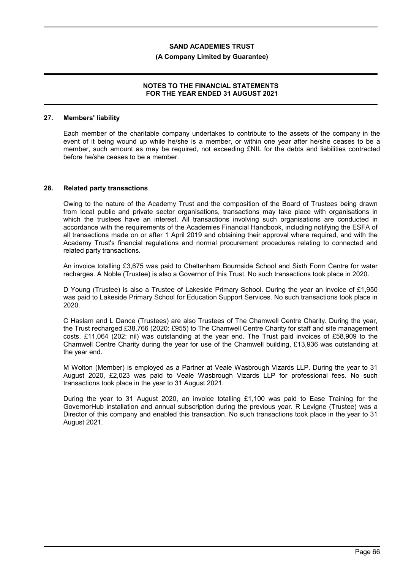#### **(A Company Limited by Guarantee)**

### **NOTES TO THE FINANCIAL STATEMENTS FOR THE YEAR ENDED 31 AUGUST 2021**

#### **27. Members' liability**

Each member of the charitable company undertakes to contribute to the assets of the company in the event of it being wound up while he/she is a member, or within one year after he/she ceases to be a member, such amount as may be required, not exceeding £NIL for the debts and liabilities contracted before he/she ceases to be a member.

#### **28. Related party transactions**

Owing to the nature of the Academy Trust and the composition of the Board of Trustees being drawn from local public and private sector organisations, transactions may take place with organisations in which the trustees have an interest. All transactions involving such organisations are conducted in accordance with the requirements of the Academies Financial Handbook, including notifying the ESFA of all transactions made on or after 1 April 2019 and obtaining their approval where required, and with the Academy Trust's financial regulations and normal procurement procedures relating to connected and related party transactions.

An invoice totalling £3,675 was paid to Cheltenham Bournside School and Sixth Form Centre for water recharges. A Noble (Trustee) is also a Governor of this Trust. No such transactions took place in 2020.

D Young (Trustee) is also a Trustee of Lakeside Primary School. During the year an invoice of £1,950 was paid to Lakeside Primary School for Education Support Services. No such transactions took place in 2020.

C Haslam and L Dance (Trustees) are also Trustees of The Chamwell Centre Charity. During the year, the Trust recharged £38,766 (2020: £955) to The Chamwell Centre Charity for staff and site management costs. £11,064 (202: nil) was outstanding at the year end. The Trust paid invoices of £58,909 to the Chamwell Centre Charity during the year for use of the Chamwell building, £13,936 was outstanding at the year end.

M Wolton (Member) is employed as a Partner at Veale Wasbrough Vizards LLP. During the year to 31 August 2020, £2,023 was paid to Veale Wasbrough Vizards LLP for professional fees. No such transactions took place in the year to 31 August 2021.

During the year to 31 August 2020, an invoice totalling £1,100 was paid to Ease Training for the GovernorHub installation and annual subscription during the previous year. R Levigne (Trustee) was a Director of this company and enabled this transaction. No such transactions took place in the year to 31 August 2021.